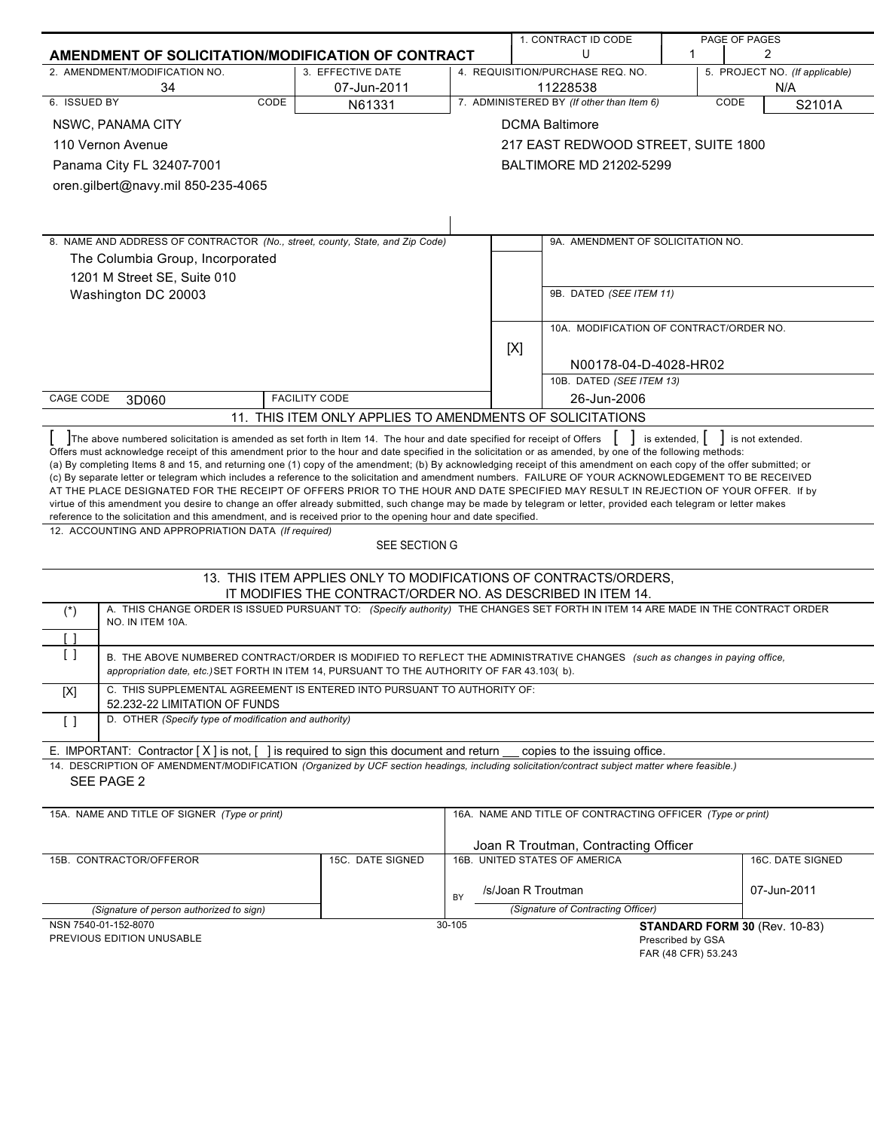|                                                                                                                                                                                                                                                                                                                                                                                                                                                                                                                                                                                                                                                                                                                                                                                                                                                                                                                                                                                                                                                                                                             |                                                                  |                                  |     | 1. CONTRACT ID CODE                                        |                                | PAGE OF PAGES    |
|-------------------------------------------------------------------------------------------------------------------------------------------------------------------------------------------------------------------------------------------------------------------------------------------------------------------------------------------------------------------------------------------------------------------------------------------------------------------------------------------------------------------------------------------------------------------------------------------------------------------------------------------------------------------------------------------------------------------------------------------------------------------------------------------------------------------------------------------------------------------------------------------------------------------------------------------------------------------------------------------------------------------------------------------------------------------------------------------------------------|------------------------------------------------------------------|----------------------------------|-----|------------------------------------------------------------|--------------------------------|------------------|
| AMENDMENT OF SOLICITATION/MODIFICATION OF CONTRACT                                                                                                                                                                                                                                                                                                                                                                                                                                                                                                                                                                                                                                                                                                                                                                                                                                                                                                                                                                                                                                                          |                                                                  |                                  |     | U                                                          | 1                              | 2                |
| 2. AMENDMENT/MODIFICATION NO.                                                                                                                                                                                                                                                                                                                                                                                                                                                                                                                                                                                                                                                                                                                                                                                                                                                                                                                                                                                                                                                                               | 3. EFFECTIVE DATE                                                | 4. REQUISITION/PURCHASE REQ. NO. |     |                                                            | 5. PROJECT NO. (If applicable) |                  |
| 34<br>6. ISSUED BY<br>CODE                                                                                                                                                                                                                                                                                                                                                                                                                                                                                                                                                                                                                                                                                                                                                                                                                                                                                                                                                                                                                                                                                  | 07-Jun-2011                                                      |                                  |     | 11228538<br>7. ADMINISTERED BY (If other than Item 6)      |                                | N/A<br>CODE      |
|                                                                                                                                                                                                                                                                                                                                                                                                                                                                                                                                                                                                                                                                                                                                                                                                                                                                                                                                                                                                                                                                                                             | N61331                                                           |                                  |     | <b>DCMA Baltimore</b>                                      |                                | S2101A           |
| NSWC, PANAMA CITY                                                                                                                                                                                                                                                                                                                                                                                                                                                                                                                                                                                                                                                                                                                                                                                                                                                                                                                                                                                                                                                                                           |                                                                  |                                  |     |                                                            |                                |                  |
| 110 Vernon Avenue                                                                                                                                                                                                                                                                                                                                                                                                                                                                                                                                                                                                                                                                                                                                                                                                                                                                                                                                                                                                                                                                                           |                                                                  |                                  |     | 217 EAST REDWOOD STREET, SUITE 1800                        |                                |                  |
| Panama City FL 32407-7001                                                                                                                                                                                                                                                                                                                                                                                                                                                                                                                                                                                                                                                                                                                                                                                                                                                                                                                                                                                                                                                                                   |                                                                  |                                  |     | BALTIMORE MD 21202-5299                                    |                                |                  |
| oren.gilbert@navy.mil 850-235-4065                                                                                                                                                                                                                                                                                                                                                                                                                                                                                                                                                                                                                                                                                                                                                                                                                                                                                                                                                                                                                                                                          |                                                                  |                                  |     |                                                            |                                |                  |
|                                                                                                                                                                                                                                                                                                                                                                                                                                                                                                                                                                                                                                                                                                                                                                                                                                                                                                                                                                                                                                                                                                             |                                                                  |                                  |     |                                                            |                                |                  |
|                                                                                                                                                                                                                                                                                                                                                                                                                                                                                                                                                                                                                                                                                                                                                                                                                                                                                                                                                                                                                                                                                                             |                                                                  |                                  |     |                                                            |                                |                  |
| 8. NAME AND ADDRESS OF CONTRACTOR (No., street, county, State, and Zip Code)                                                                                                                                                                                                                                                                                                                                                                                                                                                                                                                                                                                                                                                                                                                                                                                                                                                                                                                                                                                                                                |                                                                  |                                  |     | 9A. AMENDMENT OF SOLICITATION NO.                          |                                |                  |
| The Columbia Group, Incorporated                                                                                                                                                                                                                                                                                                                                                                                                                                                                                                                                                                                                                                                                                                                                                                                                                                                                                                                                                                                                                                                                            |                                                                  |                                  |     |                                                            |                                |                  |
| 1201 M Street SE, Suite 010                                                                                                                                                                                                                                                                                                                                                                                                                                                                                                                                                                                                                                                                                                                                                                                                                                                                                                                                                                                                                                                                                 |                                                                  |                                  |     |                                                            |                                |                  |
| Washington DC 20003                                                                                                                                                                                                                                                                                                                                                                                                                                                                                                                                                                                                                                                                                                                                                                                                                                                                                                                                                                                                                                                                                         |                                                                  |                                  |     | 9B. DATED (SEE ITEM 11)                                    |                                |                  |
|                                                                                                                                                                                                                                                                                                                                                                                                                                                                                                                                                                                                                                                                                                                                                                                                                                                                                                                                                                                                                                                                                                             |                                                                  |                                  |     | 10A. MODIFICATION OF CONTRACT/ORDER NO.                    |                                |                  |
|                                                                                                                                                                                                                                                                                                                                                                                                                                                                                                                                                                                                                                                                                                                                                                                                                                                                                                                                                                                                                                                                                                             |                                                                  |                                  |     |                                                            |                                |                  |
|                                                                                                                                                                                                                                                                                                                                                                                                                                                                                                                                                                                                                                                                                                                                                                                                                                                                                                                                                                                                                                                                                                             |                                                                  |                                  | [X] | N00178-04-D-4028-HR02                                      |                                |                  |
|                                                                                                                                                                                                                                                                                                                                                                                                                                                                                                                                                                                                                                                                                                                                                                                                                                                                                                                                                                                                                                                                                                             |                                                                  |                                  |     | 10B. DATED (SEE ITEM 13)                                   |                                |                  |
| CAGE CODE<br>3D060                                                                                                                                                                                                                                                                                                                                                                                                                                                                                                                                                                                                                                                                                                                                                                                                                                                                                                                                                                                                                                                                                          | <b>FACILITY CODE</b>                                             |                                  |     | 26-Jun-2006                                                |                                |                  |
|                                                                                                                                                                                                                                                                                                                                                                                                                                                                                                                                                                                                                                                                                                                                                                                                                                                                                                                                                                                                                                                                                                             | 11. THIS ITEM ONLY APPLIES TO AMENDMENTS OF SOLICITATIONS        |                                  |     |                                                            |                                |                  |
| The above numbered solicitation is amended as set forth in Item 14. The hour and date specified for receipt of Offers<br>Offers must acknowledge receipt of this amendment prior to the hour and date specified in the solicitation or as amended, by one of the following methods:<br>(a) By completing Items 8 and 15, and returning one (1) copy of the amendment; (b) By acknowledging receipt of this amendment on each copy of the offer submitted; or<br>(c) By separate letter or telegram which includes a reference to the solicitation and amendment numbers. FAILURE OF YOUR ACKNOWLEDGEMENT TO BE RECEIVED<br>AT THE PLACE DESIGNATED FOR THE RECEIPT OF OFFERS PRIOR TO THE HOUR AND DATE SPECIFIED MAY RESULT IN REJECTION OF YOUR OFFER. If by<br>virtue of this amendment you desire to change an offer already submitted, such change may be made by telegram or letter, provided each telegram or letter makes<br>reference to the solicitation and this amendment, and is received prior to the opening hour and date specified.<br>12. ACCOUNTING AND APPROPRIATION DATA (If required) |                                                                  |                                  |     | $\mathbf{L}$                                               | is extended, $\vert$           | is not extended. |
|                                                                                                                                                                                                                                                                                                                                                                                                                                                                                                                                                                                                                                                                                                                                                                                                                                                                                                                                                                                                                                                                                                             | SEE SECTION G                                                    |                                  |     |                                                            |                                |                  |
|                                                                                                                                                                                                                                                                                                                                                                                                                                                                                                                                                                                                                                                                                                                                                                                                                                                                                                                                                                                                                                                                                                             | 13. THIS ITEM APPLIES ONLY TO MODIFICATIONS OF CONTRACTS/ORDERS, |                                  |     |                                                            |                                |                  |
| A. THIS CHANGE ORDER IS ISSUED PURSUANT TO: (Specify authority) THE CHANGES SET FORTH IN ITEM 14 ARE MADE IN THE CONTRACT ORDER                                                                                                                                                                                                                                                                                                                                                                                                                                                                                                                                                                                                                                                                                                                                                                                                                                                                                                                                                                             | IT MODIFIES THE CONTRACT/ORDER NO. AS DESCRIBED IN ITEM 14.      |                                  |     |                                                            |                                |                  |
| $(*)$<br>NO. IN ITEM 10A.                                                                                                                                                                                                                                                                                                                                                                                                                                                                                                                                                                                                                                                                                                                                                                                                                                                                                                                                                                                                                                                                                   |                                                                  |                                  |     |                                                            |                                |                  |
|                                                                                                                                                                                                                                                                                                                                                                                                                                                                                                                                                                                                                                                                                                                                                                                                                                                                                                                                                                                                                                                                                                             |                                                                  |                                  |     |                                                            |                                |                  |
| $\left[ \begin{array}{c} \end{array} \right]$<br>B. THE ABOVE NUMBERED CONTRACT/ORDER IS MODIFIED TO REFLECT THE ADMINISTRATIVE CHANGES (such as changes in paying office,<br>appropriation date, etc.) SET FORTH IN ITEM 14, PURSUANT TO THE AUTHORITY OF FAR 43.103(b).                                                                                                                                                                                                                                                                                                                                                                                                                                                                                                                                                                                                                                                                                                                                                                                                                                   |                                                                  |                                  |     |                                                            |                                |                  |
| C. THIS SUPPLEMENTAL AGREEMENT IS ENTERED INTO PURSUANT TO AUTHORITY OF:<br>[X]<br>52.232-22 LIMITATION OF FUNDS                                                                                                                                                                                                                                                                                                                                                                                                                                                                                                                                                                                                                                                                                                                                                                                                                                                                                                                                                                                            |                                                                  |                                  |     |                                                            |                                |                  |
| D. OTHER (Specify type of modification and authority)<br>$\lceil$ $\rceil$                                                                                                                                                                                                                                                                                                                                                                                                                                                                                                                                                                                                                                                                                                                                                                                                                                                                                                                                                                                                                                  |                                                                  |                                  |     |                                                            |                                |                  |
| E. IMPORTANT: Contractor $[X]$ is not, $[ \ ]$ is required to sign this document and return                                                                                                                                                                                                                                                                                                                                                                                                                                                                                                                                                                                                                                                                                                                                                                                                                                                                                                                                                                                                                 |                                                                  |                                  |     | copies to the issuing office.                              |                                |                  |
| 14. DESCRIPTION OF AMENDMENT/MODIFICATION (Organized by UCF section headings, including solicitation/contract subject matter where feasible.)<br>SEE PAGE 2                                                                                                                                                                                                                                                                                                                                                                                                                                                                                                                                                                                                                                                                                                                                                                                                                                                                                                                                                 |                                                                  |                                  |     |                                                            |                                |                  |
| 15A. NAME AND TITLE OF SIGNER (Type or print)                                                                                                                                                                                                                                                                                                                                                                                                                                                                                                                                                                                                                                                                                                                                                                                                                                                                                                                                                                                                                                                               |                                                                  |                                  |     | 16A. NAME AND TITLE OF CONTRACTING OFFICER (Type or print) |                                |                  |
|                                                                                                                                                                                                                                                                                                                                                                                                                                                                                                                                                                                                                                                                                                                                                                                                                                                                                                                                                                                                                                                                                                             |                                                                  |                                  |     | Joan R Troutman, Contracting Officer                       |                                |                  |
| 15B. CONTRACTOR/OFFEROR                                                                                                                                                                                                                                                                                                                                                                                                                                                                                                                                                                                                                                                                                                                                                                                                                                                                                                                                                                                                                                                                                     | 15C. DATE SIGNED                                                 |                                  |     | 16B. UNITED STATES OF AMERICA                              |                                | 16C. DATE SIGNED |
|                                                                                                                                                                                                                                                                                                                                                                                                                                                                                                                                                                                                                                                                                                                                                                                                                                                                                                                                                                                                                                                                                                             |                                                                  | BY                               |     | /s/Joan R Troutman                                         |                                | 07-Jun-2011      |
| (Signature of person authorized to sign)                                                                                                                                                                                                                                                                                                                                                                                                                                                                                                                                                                                                                                                                                                                                                                                                                                                                                                                                                                                                                                                                    |                                                                  |                                  |     | (Signature of Contracting Officer)                         |                                |                  |
| NSN 7540-01-152-8070<br>30-105<br><b>STANDARD FORM 30 (Rev. 10-83)</b><br>PREVIOUS EDITION UNUSABLE<br>Prescribed by GSA<br>FAR (48 CFR) 53.243                                                                                                                                                                                                                                                                                                                                                                                                                                                                                                                                                                                                                                                                                                                                                                                                                                                                                                                                                             |                                                                  |                                  |     |                                                            |                                |                  |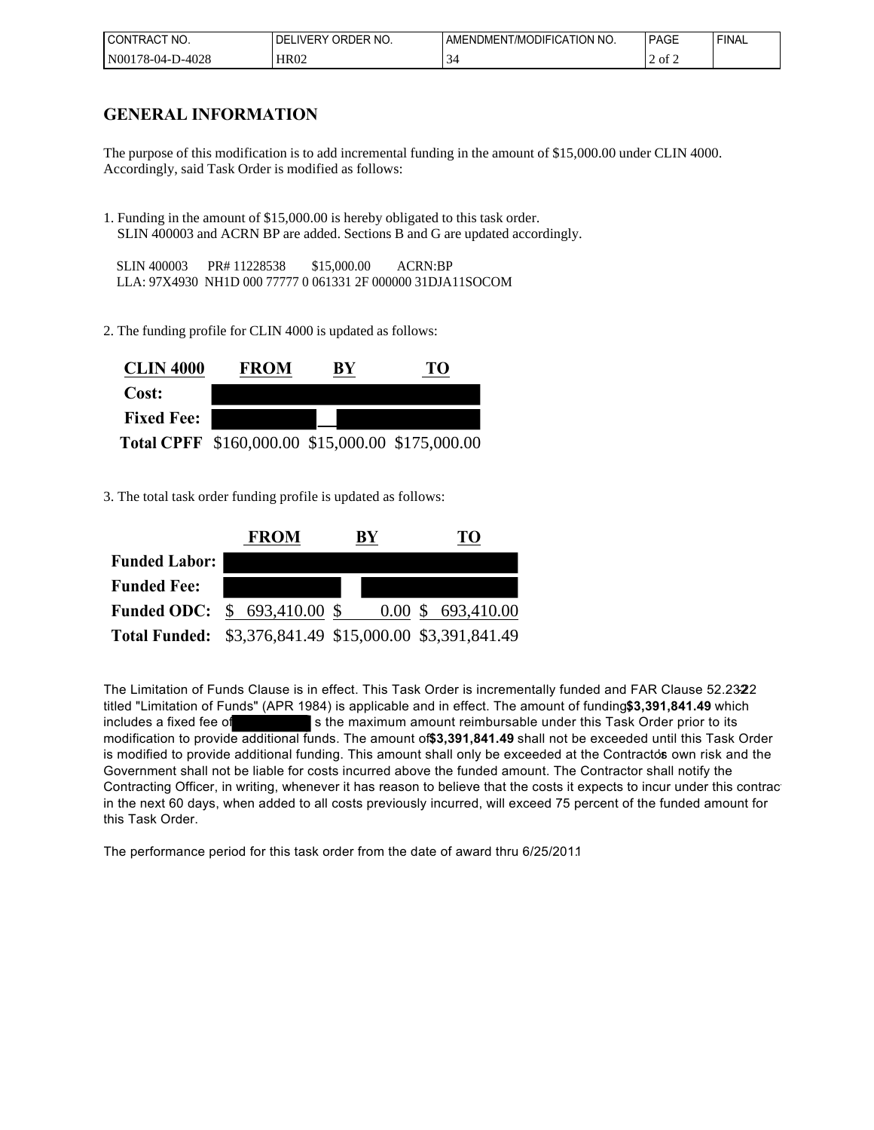| I CONT<br>'NO.<br>TRACT         | ORDER NO.<br>ŊΕ<br><b>IVERY</b> | <b>ATION</b> '<br>' NO.<br><b>JDIFIC</b><br>l /MC<br>JMEN<br>AMENL' | <b>PAGE</b> | <b>FINAL</b> |
|---------------------------------|---------------------------------|---------------------------------------------------------------------|-------------|--------------|
| N00<br>0-4028<br>$1.6 - 04 - 1$ | HR02                            | ັ                                                                   | ' 01        |              |

## **GENERAL INFORMATION**

The purpose of this modification is to add incremental funding in the amount of \$15,000.00 under CLIN 4000. Accordingly, said Task Order is modified as follows:

1. Funding in the amount of \$15,000.00 is hereby obligated to this task order. SLIN 400003 and ACRN BP are added. Sections B and G are updated accordingly.

 SLIN 400003 PR# 11228538 \$15,000.00 ACRN:BP LLA: 97X4930 NH1D 000 77777 0 061331 2F 000000 31DJA11SOCOM

2. The funding profile for CLIN 4000 is updated as follows:



3. The total task order funding profile is updated as follows:

|                                                         | <b>FROM</b> | BY | ГO                 |
|---------------------------------------------------------|-------------|----|--------------------|
| <b>Funded Labor:</b>                                    |             |    |                    |
| <b>Funded Fee:</b>                                      |             |    |                    |
| <b>Funded ODC:</b> \$693,410.00 \$                      |             |    | 0.00 \$ 693,410.00 |
| Total Funded: \$3,376,841.49 \$15,000.00 \$3,391,841.49 |             |    |                    |

The Limitation of Funds Clause is in effect. This Task Order is incrementally funded and FAR Clause 52.2322 titled "Limitation of Funds" (APR 1984) is applicable and in effect. The amount of funding\$3,391,841.49 which includes a fixed fee of state of state maximum amount reimbursable under this Task Order prior to its is the maximum amount reimbursable under this Task Order prior to its modification to provide additional funds. The amount of \$3,391,841.49 shall not be exceeded until this Task Order is modified to provide additional funding. This amount shall only be exceeded at the Contractos own risk and the Government shall not be liable for costs incurred above the funded amount. The Contractor shall notify the Contracting Officer, in writing, whenever it has reason to believe that the costs it expects to incur under this contract in the next 60 days, when added to all costs previously incurred, will exceed 75 percent of the funded amount for this Task Order.

The performance period for this task order from the date of award thru 6/25/2011.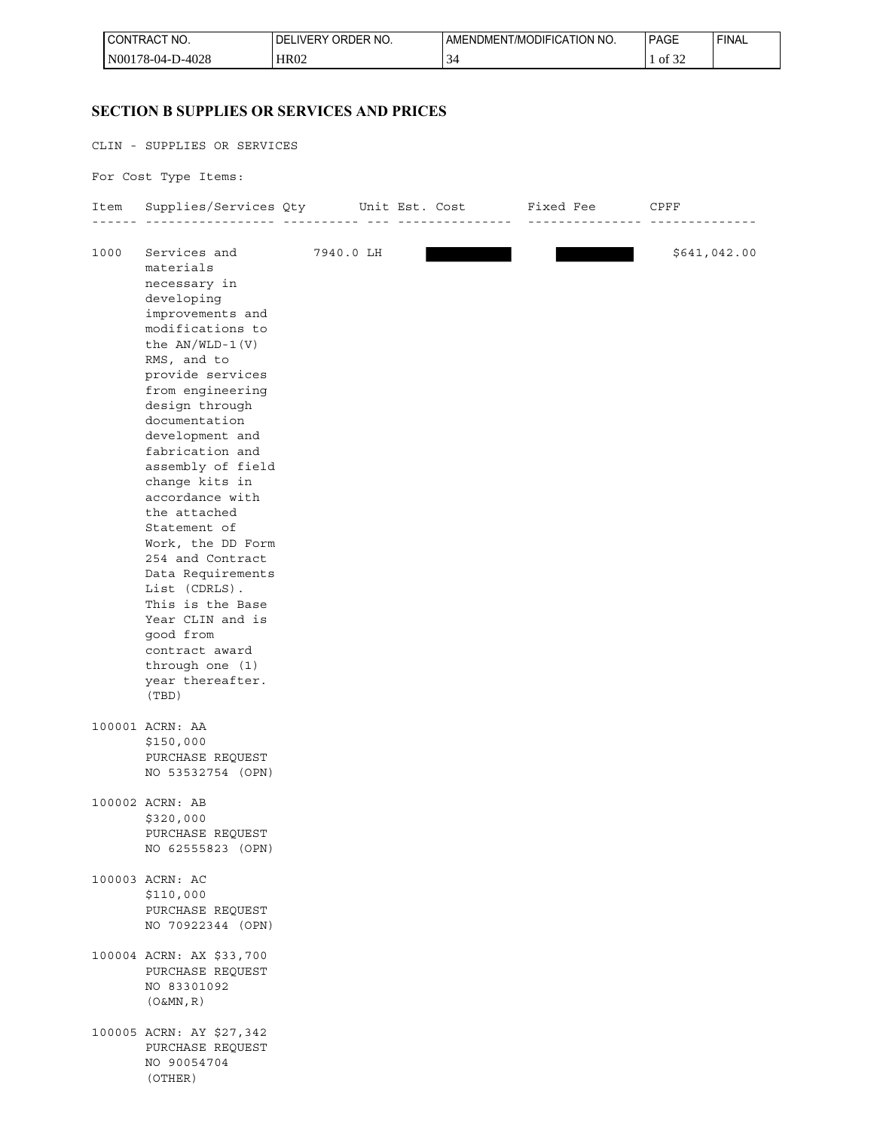| <b>I CONTRACT</b><br>'NO. | ' ORDER NO.<br><b>IVFRY</b><br>' DEL. | AMENDMENT/MODIFICATION NO. | <b>PAGE</b> | 'FINAL |
|---------------------------|---------------------------------------|----------------------------|-------------|--------|
| D-4028<br>$N00178-04-D$   | <b>HR02</b>                           |                            | -t of $5-$  |        |

## **SECTION B SUPPLIES OR SERVICES AND PRICES**

CLIN - SUPPLIES OR SERVICES

For Cost Type Items:

| Item | Supplies/Services Qty                                                                                                                                                                                                                                                                                                                                                                                                                                                                                                                                |           | Unit Est. Cost | $- - - - - - -$ | Fixed Fee | CPFF         |
|------|------------------------------------------------------------------------------------------------------------------------------------------------------------------------------------------------------------------------------------------------------------------------------------------------------------------------------------------------------------------------------------------------------------------------------------------------------------------------------------------------------------------------------------------------------|-----------|----------------|-----------------|-----------|--------------|
| 1000 | Services and<br>materials<br>necessary in<br>developing<br>improvements and<br>modifications to<br>the $AN/WLD-1(V)$<br>RMS, and to<br>provide services<br>from engineering<br>design through<br>documentation<br>development and<br>fabrication and<br>assembly of field<br>change kits in<br>accordance with<br>the attached<br>Statement of<br>Work, the DD Form<br>254 and Contract<br>Data Requirements<br>List (CDRLS).<br>This is the Base<br>Year CLIN and is<br>good from<br>contract award<br>through one (1)<br>year thereafter.<br>(TBD) | 7940.0 LH |                |                 |           | \$641,042.00 |
|      | 100001 ACRN: AA<br>\$150,000<br>PURCHASE REQUEST<br>NO 53532754 (OPN)                                                                                                                                                                                                                                                                                                                                                                                                                                                                                |           |                |                 |           |              |
|      | 100002 ACRN: AB<br>\$320,000<br>PURCHASE REQUEST<br>NO 62555823 (OPN)                                                                                                                                                                                                                                                                                                                                                                                                                                                                                |           |                |                 |           |              |
|      | 100003 ACRN: AC<br>\$110,000<br>PURCHASE REQUEST<br>NO 70922344 (OPN)                                                                                                                                                                                                                                                                                                                                                                                                                                                                                |           |                |                 |           |              |
|      | 100004 ACRN: AX \$33,700<br>PURCHASE REQUEST<br>NO 83301092<br>$(0\&MN, R)$                                                                                                                                                                                                                                                                                                                                                                                                                                                                          |           |                |                 |           |              |
|      | 100005 ACRN: AY \$27,342<br>PURCHASE REQUEST<br>NO 90054704<br>(OTHER)                                                                                                                                                                                                                                                                                                                                                                                                                                                                               |           |                |                 |           |              |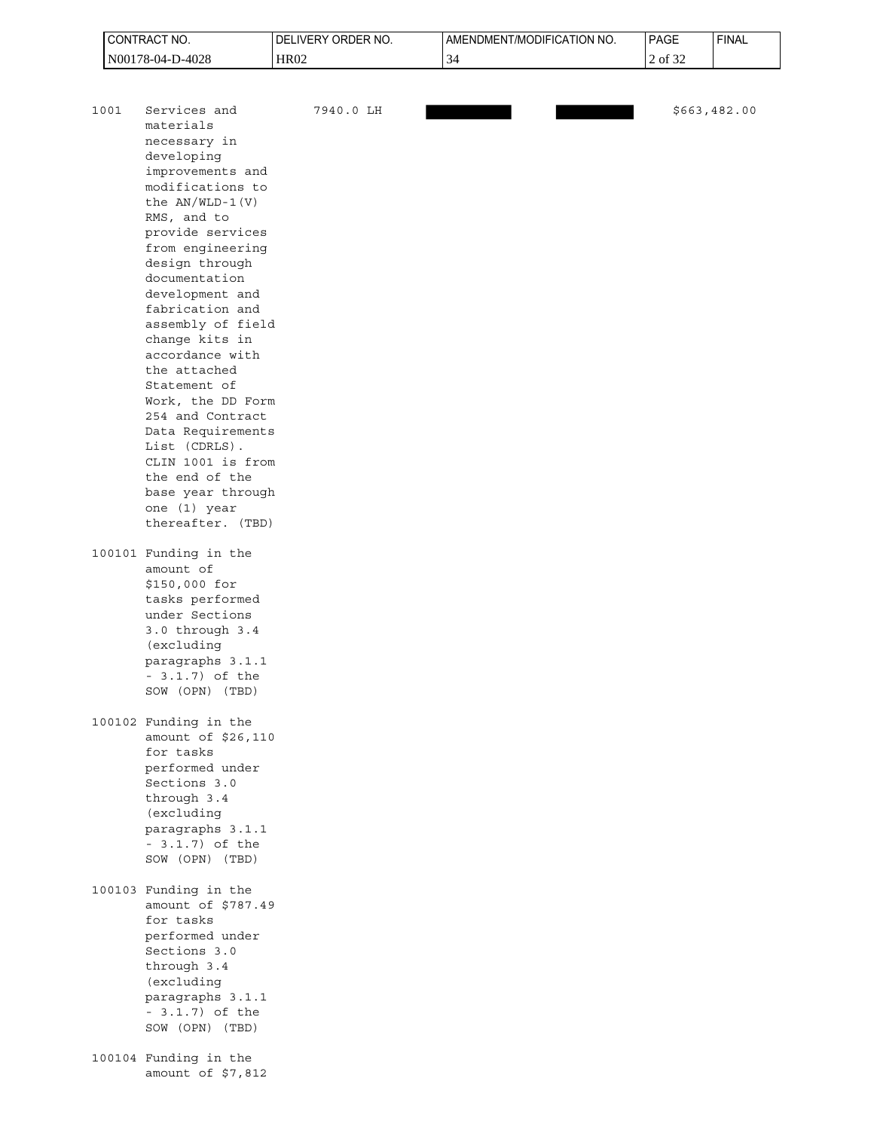| CONTRACT NO. |                                                                                                                                                                                                                                                                                                                                                                                                                                                                                                           | DELIVERY ORDER NO. | AMENDMENT/MODIFICATION NO. | PAGE    | <b>FINAL</b> |
|--------------|-----------------------------------------------------------------------------------------------------------------------------------------------------------------------------------------------------------------------------------------------------------------------------------------------------------------------------------------------------------------------------------------------------------------------------------------------------------------------------------------------------------|--------------------|----------------------------|---------|--------------|
|              | N00178-04-D-4028                                                                                                                                                                                                                                                                                                                                                                                                                                                                                          | <b>HR02</b>        | 34                         | 2 of 32 |              |
|              |                                                                                                                                                                                                                                                                                                                                                                                                                                                                                                           |                    |                            |         |              |
| 1001         | Services and<br>materials<br>necessary in<br>developing<br>improvements and<br>modifications to<br>the $AN/WLD-1(V)$<br>RMS, and to<br>provide services<br>from engineering<br>design through<br>documentation<br>development and<br>fabrication and<br>assembly of field<br>change kits in<br>accordance with<br>the attached<br>Statement of<br>Work, the DD Form<br>254 and Contract<br>Data Requirements<br>List (CDRLS).<br>CLIN 1001 is from<br>the end of the<br>base year through<br>one (1) year | 7940.0 LH          |                            |         | \$663,482.00 |
|              | thereafter. (TBD)                                                                                                                                                                                                                                                                                                                                                                                                                                                                                         |                    |                            |         |              |
|              |                                                                                                                                                                                                                                                                                                                                                                                                                                                                                                           |                    |                            |         |              |
|              | 100101 Funding in the<br>amount of<br>\$150,000 for<br>tasks performed<br>under Sections<br>3.0 through 3.4<br>(excluding<br>paragraphs 3.1.1<br>$-3.1.7)$ of the<br>SOW (OPN) (TBD)                                                                                                                                                                                                                                                                                                                      |                    |                            |         |              |
|              | 100102 Funding in the<br>amount of \$26,110<br>for tasks<br>performed under<br>Sections 3.0<br>through 3.4<br>(excluding<br>paragraphs 3.1.1<br>$-3.1.7)$ of the<br>SOW (OPN) (TBD)                                                                                                                                                                                                                                                                                                                       |                    |                            |         |              |
|              | 100103 Funding in the<br>amount of \$787.49<br>for tasks<br>performed under<br>Sections 3.0<br>through 3.4<br>(excluding<br>paragraphs 3.1.1<br>$-3.1.7)$ of the<br>SOW (OPN) (TBD)<br>100104 Funding in the                                                                                                                                                                                                                                                                                              |                    |                            |         |              |
|              | amount of \$7,812                                                                                                                                                                                                                                                                                                                                                                                                                                                                                         |                    |                            |         |              |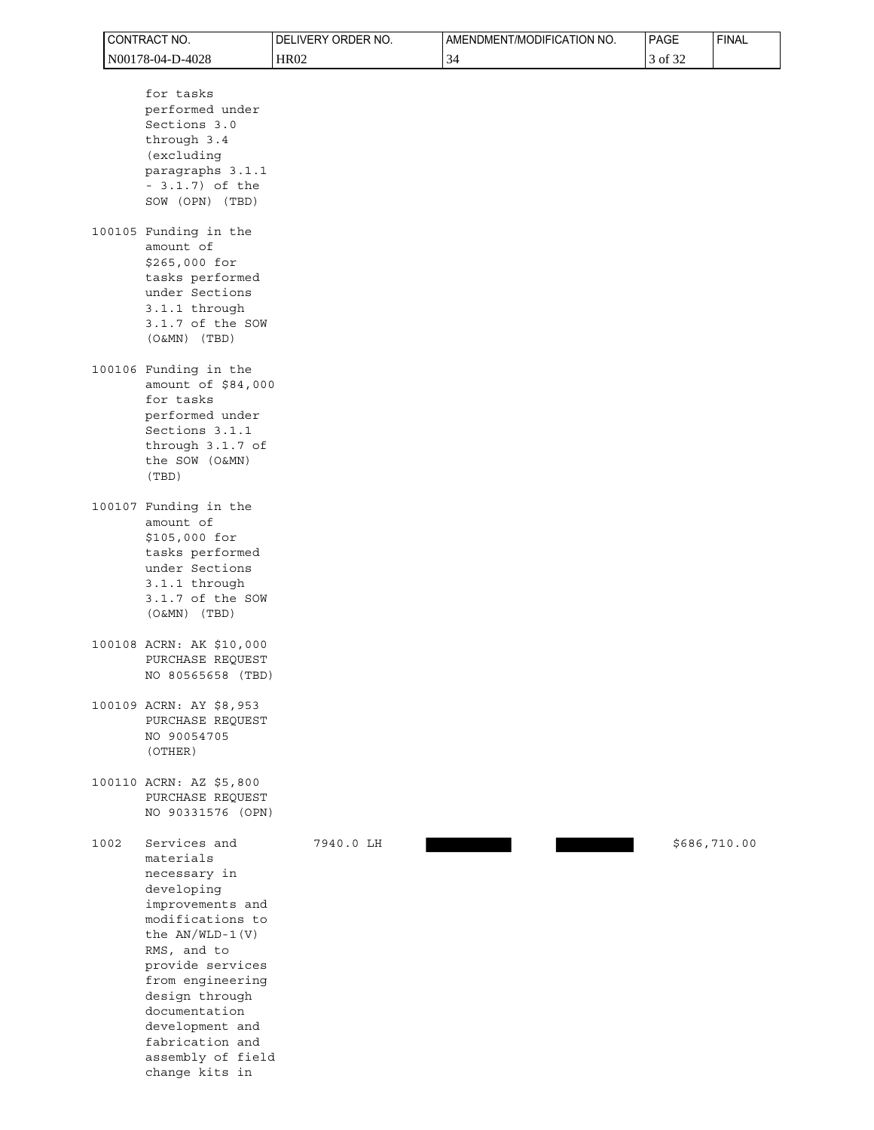|      | CONTRACT NO.                                                                                                                                                                                                                                         | DELIVERY ORDER NO. | AMENDMENT/MODIFICATION NO. | PAGE    | <b>FINAL</b> |
|------|------------------------------------------------------------------------------------------------------------------------------------------------------------------------------------------------------------------------------------------------------|--------------------|----------------------------|---------|--------------|
|      | N00178-04-D-4028                                                                                                                                                                                                                                     | <b>HR02</b>        | 34                         | 3 of 32 |              |
|      | for tasks<br>performed under<br>Sections 3.0<br>through 3.4<br>(excluding<br>paragraphs 3.1.1<br>$-3.1.7)$ of the<br>SOW (OPN) (TBD)<br>100105 Funding in the<br>amount of                                                                           |                    |                            |         |              |
|      | \$265,000 for<br>tasks performed<br>under Sections<br>3.1.1 through<br>3.1.7 of the SOW<br>$(O&MN)$ (TBD)                                                                                                                                            |                    |                            |         |              |
|      | 100106 Funding in the<br>amount of \$84,000<br>for tasks<br>performed under<br>Sections 3.1.1<br>through 3.1.7 of<br>the SOW (O&MN)<br>(TBD)                                                                                                         |                    |                            |         |              |
|      | 100107 Funding in the<br>amount of<br>\$105,000 for<br>tasks performed<br>under Sections<br>3.1.1 through<br>3.1.7 of the SOW<br>$(O&MN)$ (TBD)                                                                                                      |                    |                            |         |              |
|      | 100108 ACRN: AK \$10,000<br>PURCHASE REQUEST<br>NO 80565658 (TBD)                                                                                                                                                                                    |                    |                            |         |              |
|      | 100109 ACRN: AY \$8,953<br>PURCHASE REQUEST<br>NO 90054705<br>(OTHER)                                                                                                                                                                                |                    |                            |         |              |
|      | 100110 ACRN: AZ \$5,800<br>PURCHASE REQUEST<br>NO 90331576 (OPN)                                                                                                                                                                                     |                    |                            |         |              |
| 1002 | Services and<br>materials<br>necessary in<br>developing<br>improvements and<br>modifications to<br>the $AN/WLD-1(V)$<br>RMS, and to<br>provide services<br>from engineering<br>design through<br>documentation<br>development and<br>fabrication and | 7940.0 LH          |                            |         | \$686,710.00 |

 assembly of field change kits in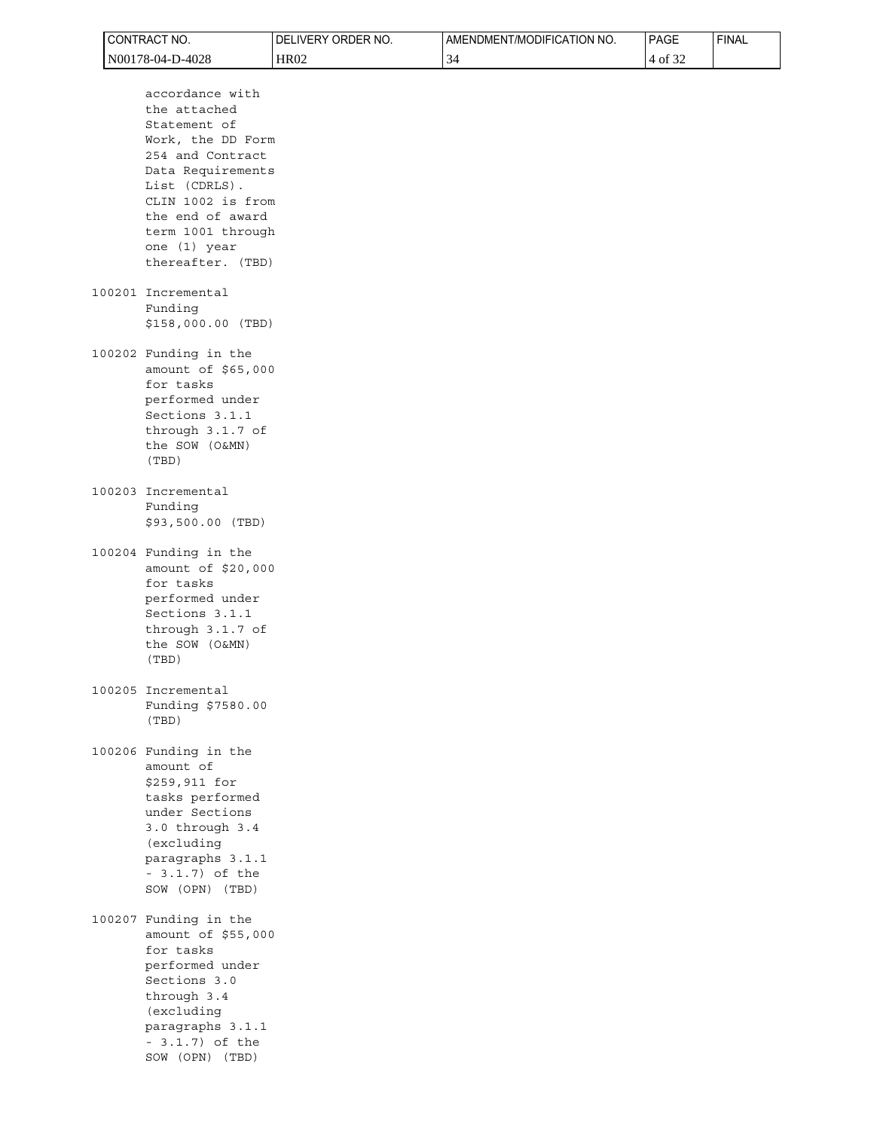| CONTRACT NO.                                                                                                                                                                                                                      | DELIVERY ORDER NO. | AMENDMENT/MODIFICATION NO. | PAGE    | <b>FINAL</b> |
|-----------------------------------------------------------------------------------------------------------------------------------------------------------------------------------------------------------------------------------|--------------------|----------------------------|---------|--------------|
| N00178-04-D-4028                                                                                                                                                                                                                  | <b>HR02</b>        | 34                         | 4 of 32 |              |
| accordance with<br>the attached<br>Statement of<br>Work, the DD Form<br>254 and Contract<br>Data Requirements<br>List (CDRLS).<br>CLIN 1002 is from<br>the end of award<br>term 1001 through<br>one (1) year<br>thereafter. (TBD) |                    |                            |         |              |
| 100201 Incremental<br>Funding<br>\$158,000.00 (TBD)                                                                                                                                                                               |                    |                            |         |              |
| 100202 Funding in the<br>amount of \$65,000<br>for tasks<br>performed under<br>Sections 3.1.1<br>through 3.1.7 of<br>the SOW (O&MN)<br>(TBD)                                                                                      |                    |                            |         |              |
| 100203 Incremental<br>Funding<br>\$93,500.00 (TBD)                                                                                                                                                                                |                    |                            |         |              |
| 100204 Funding in the<br>amount of \$20,000<br>for tasks<br>performed under<br>Sections 3.1.1<br>through 3.1.7 of<br>the SOW (O&MN)<br>(TBD)                                                                                      |                    |                            |         |              |
| 100205 Incremental<br>Funding \$7580.00<br>(TBD)                                                                                                                                                                                  |                    |                            |         |              |
| 100206 Funding in the<br>amount of<br>\$259,911 for<br>tasks performed<br>under Sections<br>3.0 through 3.4<br>(excluding<br>paragraphs 3.1.1<br>$-3.1.7)$ of the<br>SOW (OPN) (TBD)                                              |                    |                            |         |              |
| 100207 Funding in the<br>amount of \$55,000<br>for tasks<br>performed under<br>Sections 3.0<br>through 3.4<br>(excluding<br>paragraphs 3.1.1<br>$-3.1.7)$ of the<br>SOW (OPN) (TBD)                                               |                    |                            |         |              |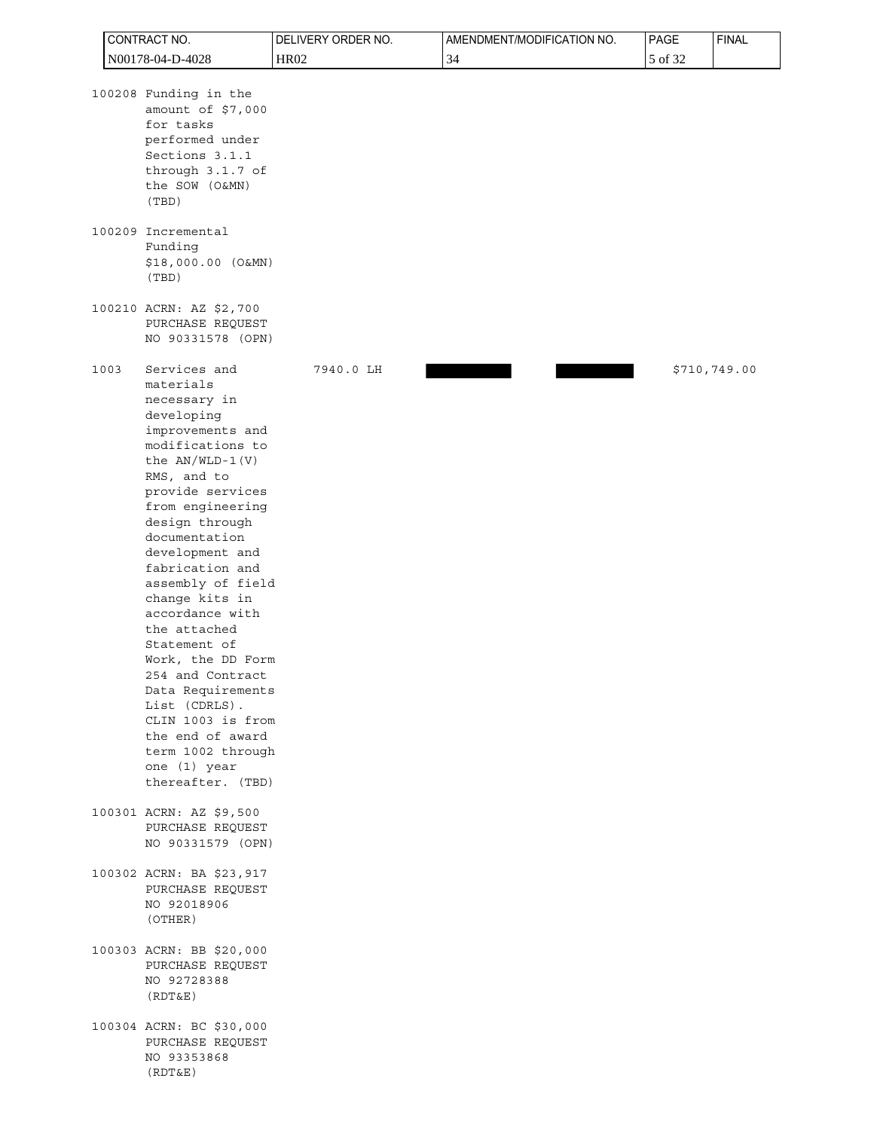| CONTRACT NO. |      |                                                                                                                                                                                                                                                                                                                                                                                                                                                                                                                                  | DELIVERY ORDER NO. | AMENDMENT/MODIFICATION NO. | <b>FINAL</b><br>PAGE |              |  |
|--------------|------|----------------------------------------------------------------------------------------------------------------------------------------------------------------------------------------------------------------------------------------------------------------------------------------------------------------------------------------------------------------------------------------------------------------------------------------------------------------------------------------------------------------------------------|--------------------|----------------------------|----------------------|--------------|--|
|              |      | N00178-04-D-4028                                                                                                                                                                                                                                                                                                                                                                                                                                                                                                                 | <b>HR02</b>        | 34                         | 5 of 32              |              |  |
|              |      | 100208 Funding in the<br>amount of \$7,000<br>for tasks<br>performed under<br>Sections 3.1.1<br>through 3.1.7 of<br>the SOW (O&MN)<br>(TBD)                                                                                                                                                                                                                                                                                                                                                                                      |                    |                            |                      |              |  |
|              |      | 100209 Incremental<br>Funding<br>\$18,000.00 (O&MN)<br>(TBD)                                                                                                                                                                                                                                                                                                                                                                                                                                                                     |                    |                            |                      |              |  |
|              |      | 100210 ACRN: AZ \$2,700<br>PURCHASE REQUEST<br>NO 90331578 (OPN)                                                                                                                                                                                                                                                                                                                                                                                                                                                                 |                    |                            |                      |              |  |
|              | 1003 | Services and<br>materials<br>necessary in<br>developing<br>improvements and<br>modifications to<br>the $AN/WLD-1(V)$<br>RMS, and to<br>provide services<br>from engineering<br>design through<br>documentation<br>development and<br>fabrication and<br>assembly of field<br>change kits in<br>accordance with<br>the attached<br>Statement of<br>Work, the DD Form<br>254 and Contract<br>Data Requirements<br>List (CDRLS).<br>CLIN 1003 is from<br>the end of award<br>term 1002 through<br>one (1) year<br>thereafter. (TBD) | 7940.0 LH          |                            |                      | \$710,749.00 |  |
|              |      | 100301 ACRN: AZ \$9,500<br>PURCHASE REQUEST<br>NO 90331579 (OPN)                                                                                                                                                                                                                                                                                                                                                                                                                                                                 |                    |                            |                      |              |  |
|              |      | 100302 ACRN: BA \$23,917<br>PURCHASE REQUEST<br>NO 92018906<br>(OTHER)                                                                                                                                                                                                                                                                                                                                                                                                                                                           |                    |                            |                      |              |  |
|              |      | 100303 ACRN: BB \$20,000<br>PURCHASE REQUEST<br>NO 92728388<br>(RDT&E)                                                                                                                                                                                                                                                                                                                                                                                                                                                           |                    |                            |                      |              |  |
|              |      | 100304 ACRN: BC \$30,000<br>PURCHASE REQUEST<br>NO 93353868<br>(RDT&E)                                                                                                                                                                                                                                                                                                                                                                                                                                                           |                    |                            |                      |              |  |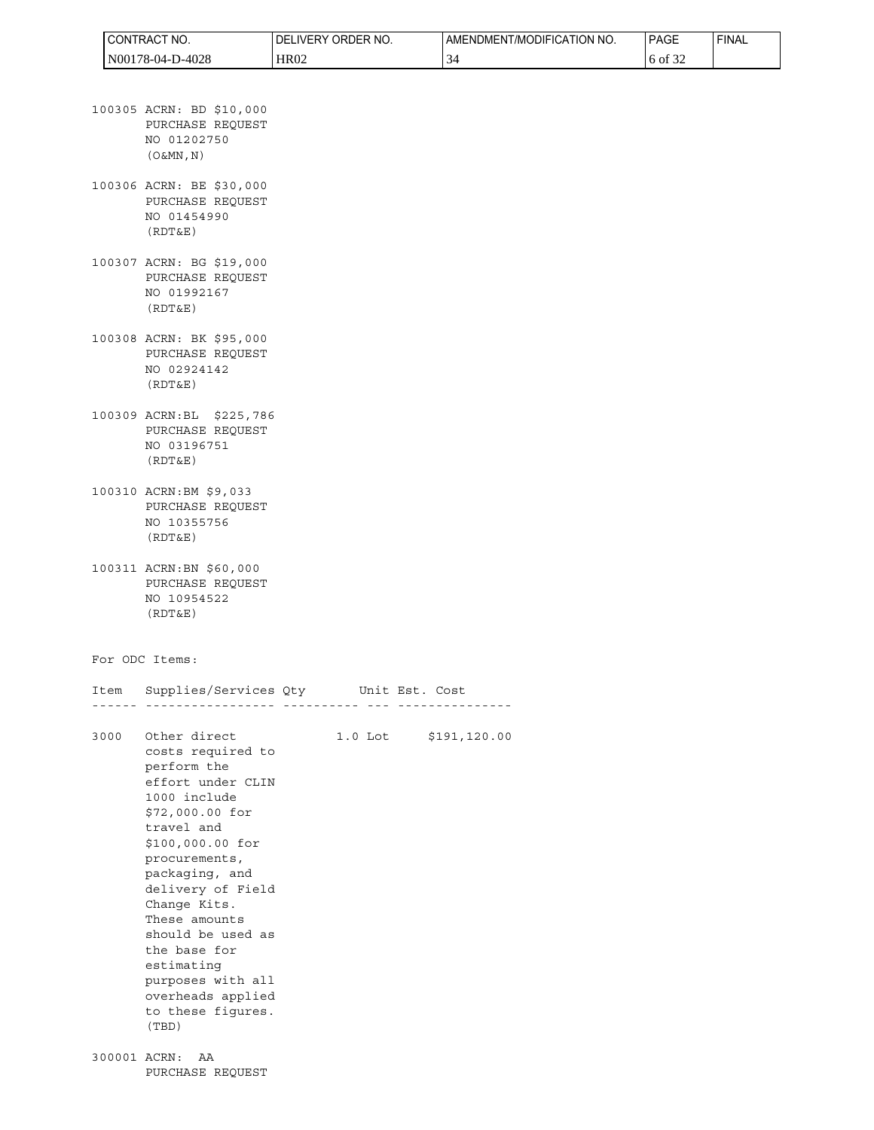|      | CONTRACT NO.                                                                                                                                                                                                                                                                                                                                                   | DELIVERY ORDER NO.                   | AMENDMENT/MODIFICATION NO. | PAGE    | <b>FINAL</b> |
|------|----------------------------------------------------------------------------------------------------------------------------------------------------------------------------------------------------------------------------------------------------------------------------------------------------------------------------------------------------------------|--------------------------------------|----------------------------|---------|--------------|
|      | N00178-04-D-4028                                                                                                                                                                                                                                                                                                                                               | <b>HR02</b>                          | 34                         | 6 of 32 |              |
|      | 100305 ACRN: BD \$10,000<br>PURCHASE REQUEST<br>NO 01202750<br>$(0\&MN, N)$                                                                                                                                                                                                                                                                                    |                                      |                            |         |              |
|      | 100306 ACRN: BE \$30,000<br>PURCHASE REQUEST<br>NO 01454990<br>(RDT&E)                                                                                                                                                                                                                                                                                         |                                      |                            |         |              |
|      | 100307 ACRN: BG \$19,000<br>PURCHASE REQUEST<br>NO 01992167<br>(RDT&E)                                                                                                                                                                                                                                                                                         |                                      |                            |         |              |
|      | 100308 ACRN: BK \$95,000<br>PURCHASE REQUEST<br>NO 02924142<br>(RDT&E)                                                                                                                                                                                                                                                                                         |                                      |                            |         |              |
|      | 100309 ACRN: BL \$225,786<br>PURCHASE REQUEST<br>NO 03196751<br>(RDT&E)                                                                                                                                                                                                                                                                                        |                                      |                            |         |              |
|      | 100310 ACRN: BM \$9,033<br>PURCHASE REQUEST<br>NO 10355756<br>(RDT&E)                                                                                                                                                                                                                                                                                          |                                      |                            |         |              |
|      | 100311 ACRN: BN \$60,000<br>PURCHASE REQUEST<br>NO 10954522<br>(RDT&E)                                                                                                                                                                                                                                                                                         |                                      |                            |         |              |
|      | For ODC Items:                                                                                                                                                                                                                                                                                                                                                 |                                      |                            |         |              |
| Item |                                                                                                                                                                                                                                                                                                                                                                | Supplies/Services Qty Unit Est. Cost |                            |         |              |
| 3000 | Other direct<br>costs required to<br>perform the<br>effort under CLIN<br>1000 include<br>\$72,000.00 for<br>travel and<br>\$100,000.00 for<br>procurements,<br>packaging, and<br>delivery of Field<br>Change Kits.<br>These amounts<br>should be used as<br>the base for<br>estimating<br>purposes with all<br>overheads applied<br>to these figures.<br>(TBD) |                                      | 1.0 Lot \$191,120.00       |         |              |
|      | 300001 ACRN: AA<br>PURCHASE REQUEST                                                                                                                                                                                                                                                                                                                            |                                      |                            |         |              |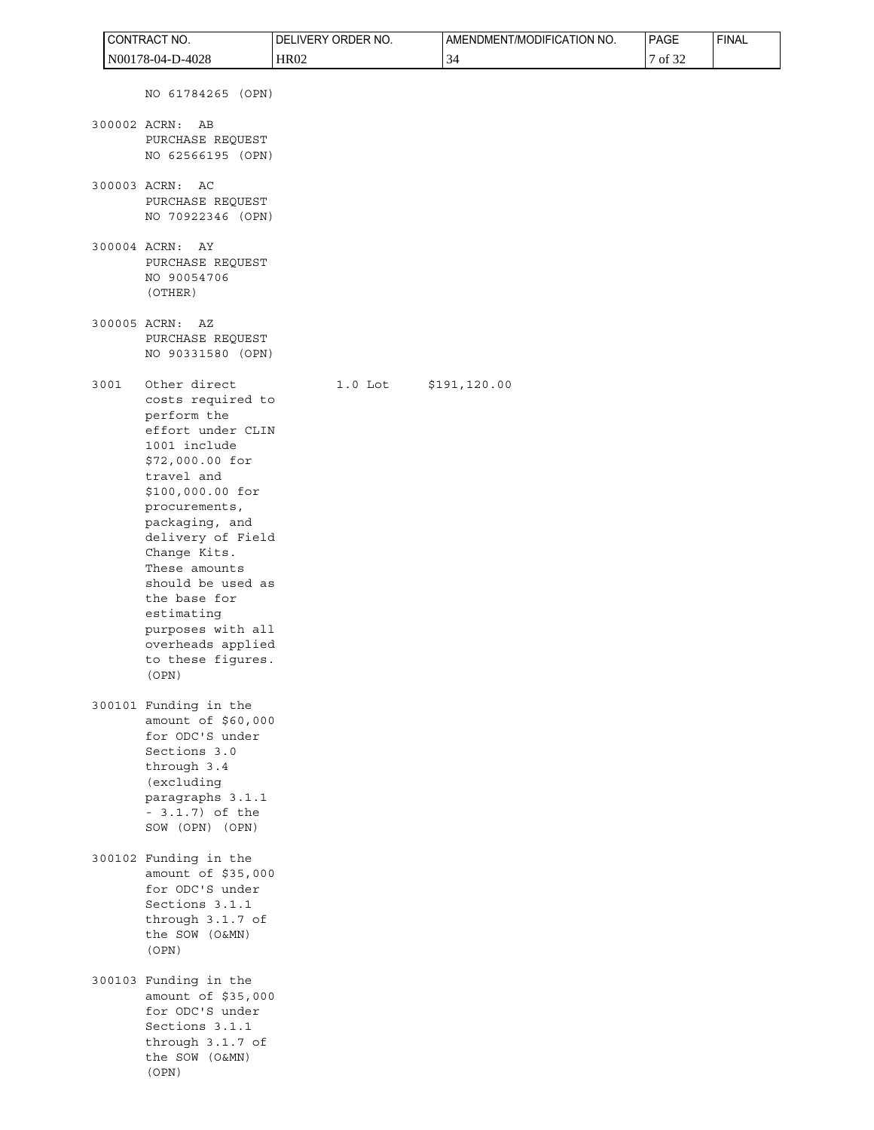|      | CONTRACT NO.                                                                                                                                                                                                                                                                                                                                                   | DELIVERY ORDER NO. | AMENDMENT/MODIFICATION NO. | PAGE    | <b>FINAL</b> |
|------|----------------------------------------------------------------------------------------------------------------------------------------------------------------------------------------------------------------------------------------------------------------------------------------------------------------------------------------------------------------|--------------------|----------------------------|---------|--------------|
|      | N00178-04-D-4028                                                                                                                                                                                                                                                                                                                                               | <b>HR02</b>        | 34                         | 7 of 32 |              |
|      | NO 61784265 (OPN)<br>300002 ACRN:<br>AB<br>PURCHASE REQUEST<br>NO 62566195 (OPN)                                                                                                                                                                                                                                                                               |                    |                            |         |              |
|      | 300003 ACRN:<br>AC<br>PURCHASE REQUEST<br>NO 70922346 (OPN)                                                                                                                                                                                                                                                                                                    |                    |                            |         |              |
|      | 300004 ACRN:<br>ΑY<br>PURCHASE REQUEST<br>NO 90054706<br>(OTHER)                                                                                                                                                                                                                                                                                               |                    |                            |         |              |
|      | 300005 ACRN:<br>ΑZ<br>PURCHASE REQUEST<br>NO 90331580 (OPN)                                                                                                                                                                                                                                                                                                    |                    |                            |         |              |
| 3001 | Other direct<br>costs required to<br>perform the<br>effort under CLIN<br>1001 include<br>\$72,000.00 for<br>travel and<br>\$100,000.00 for<br>procurements,<br>packaging, and<br>delivery of Field<br>Change Kits.<br>These amounts<br>should be used as<br>the base for<br>estimating<br>purposes with all<br>overheads applied<br>to these figures.<br>(OPN) | $1.0$ Lot          | \$191, 120.00              |         |              |
|      | 300101 Funding in the<br>amount of \$60,000<br>for ODC'S under<br>Sections 3.0<br>through 3.4<br>(excluding<br>paragraphs 3.1.1<br>$-3.1.7)$ of the<br>SOW (OPN) (OPN)                                                                                                                                                                                         |                    |                            |         |              |
|      | 300102 Funding in the<br>amount of \$35,000<br>for ODC'S under<br>Sections 3.1.1<br>through 3.1.7 of<br>the SOW (O&MN)<br>(OPN)                                                                                                                                                                                                                                |                    |                            |         |              |
|      | 300103 Funding in the<br>amount of \$35,000<br>for ODC'S under<br>Sections 3.1.1<br>through 3.1.7 of<br>the SOW (O&MN)<br>(OPN)                                                                                                                                                                                                                                |                    |                            |         |              |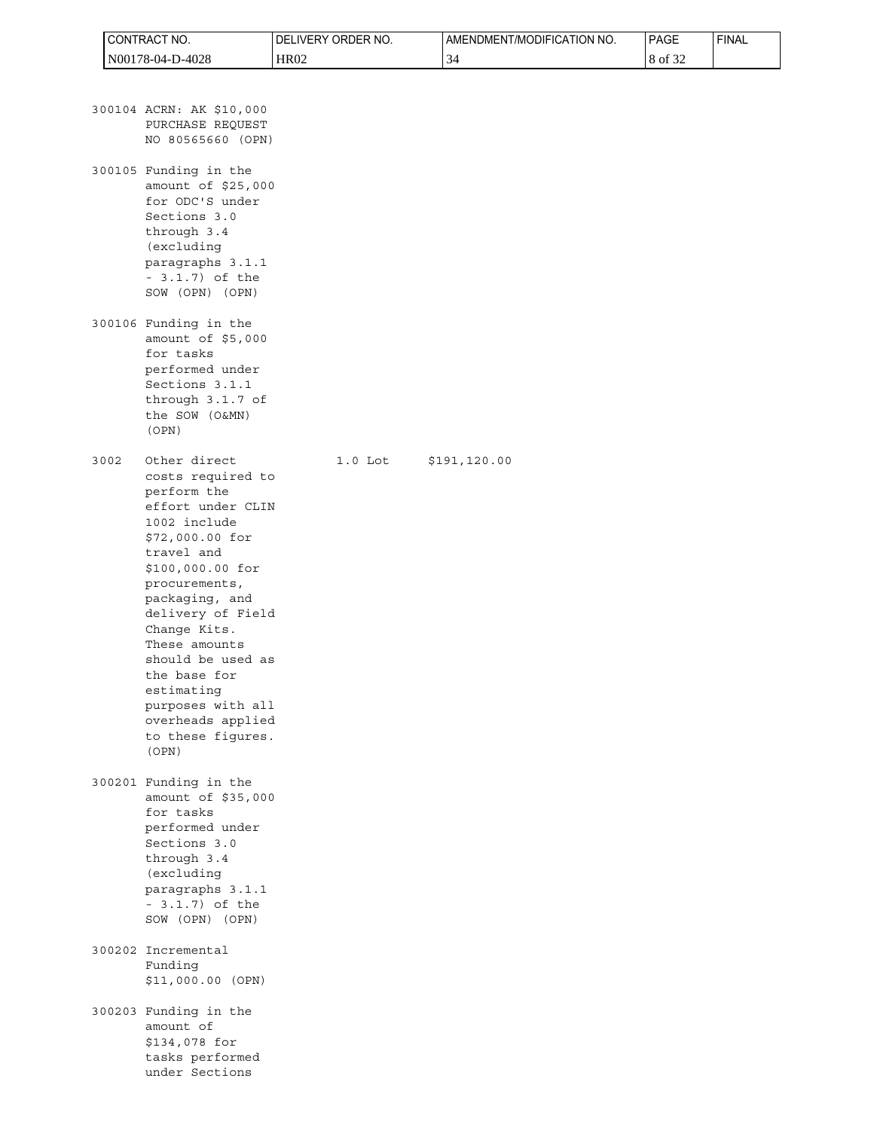| CONTRACT NO.                                                                                                                                                                                                                                                                                                                                                           | DELIVERY ORDER NO. | AMENDMENT/MODIFICATION NO. | <b>PAGE</b> | <b>FINAL</b> |
|------------------------------------------------------------------------------------------------------------------------------------------------------------------------------------------------------------------------------------------------------------------------------------------------------------------------------------------------------------------------|--------------------|----------------------------|-------------|--------------|
| N00178-04-D-4028                                                                                                                                                                                                                                                                                                                                                       | <b>HR02</b>        | 34                         | 8 of 32     |              |
|                                                                                                                                                                                                                                                                                                                                                                        |                    |                            |             |              |
| 300104 ACRN: AK \$10,000<br>PURCHASE REQUEST<br>NO 80565660 (OPN)                                                                                                                                                                                                                                                                                                      |                    |                            |             |              |
| 300105 Funding in the<br>amount of \$25,000<br>for ODC'S under<br>Sections 3.0<br>through 3.4<br>(excluding<br>paragraphs 3.1.1<br>$-3.1.7)$ of the<br>SOW (OPN) (OPN)                                                                                                                                                                                                 |                    |                            |             |              |
| 300106 Funding in the<br>amount of \$5,000<br>for tasks<br>performed under<br>Sections 3.1.1<br>through 3.1.7 of<br>the SOW (O&MN)<br>(OPN)                                                                                                                                                                                                                            |                    |                            |             |              |
| Other direct<br>3002<br>costs required to<br>perform the<br>effort under CLIN<br>1002 include<br>\$72,000.00 for<br>travel and<br>\$100,000.00 for<br>procurements,<br>packaging, and<br>delivery of Field<br>Change Kits.<br>These amounts<br>should be used as<br>the base for<br>estimating<br>purposes with all<br>overheads applied<br>to these figures.<br>(OPN) | $1.0$ Lot          | \$191, 120.00              |             |              |
| 300201 Funding in the<br>amount of \$35,000<br>for tasks<br>performed under<br>Sections 3.0<br>through 3.4<br>(excluding<br>paragraphs 3.1.1<br>$-3.1.7)$ of the<br>SOW (OPN) (OPN)                                                                                                                                                                                    |                    |                            |             |              |
| 300202 Incremental<br>Funding<br>\$11,000.00 (OPN)                                                                                                                                                                                                                                                                                                                     |                    |                            |             |              |
| 300203 Funding in the<br>amount of<br>\$134,078 for<br>tasks performed<br>under Sections                                                                                                                                                                                                                                                                               |                    |                            |             |              |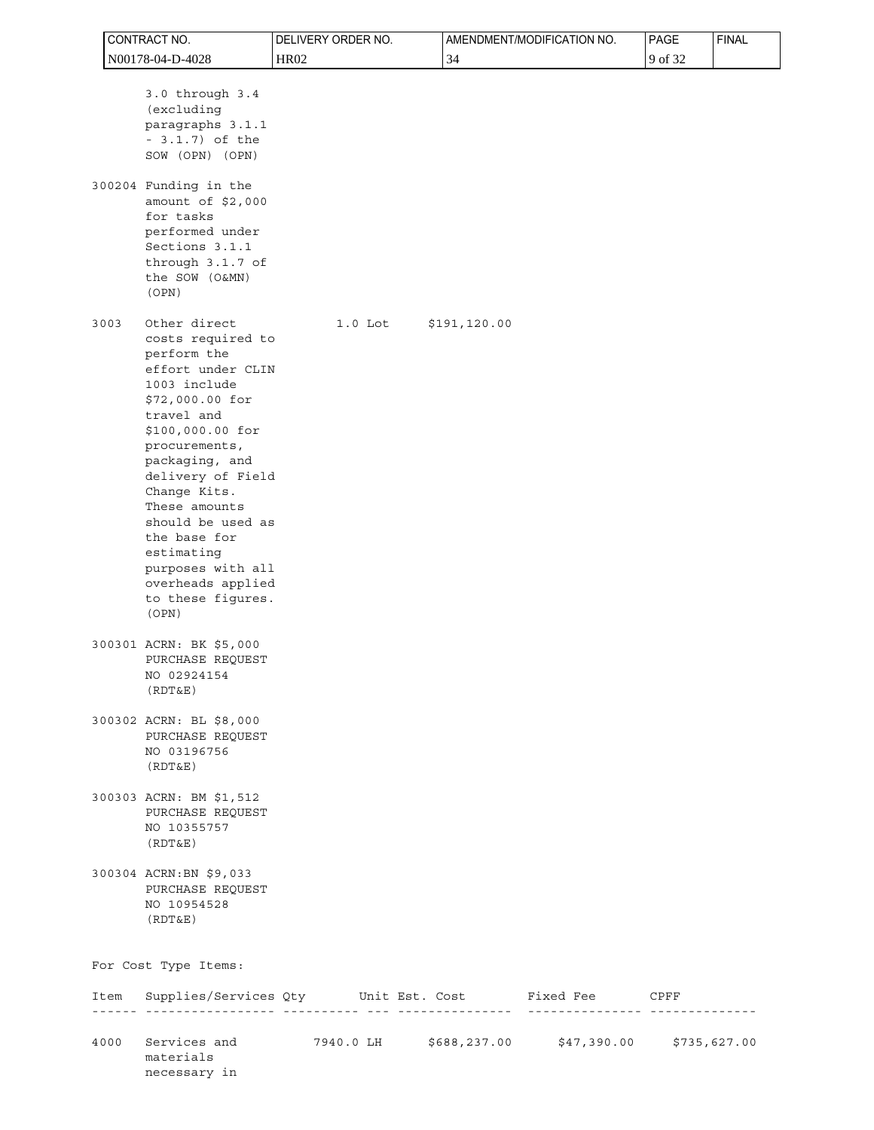|      | CONTRACT NO.                                                                                                                                                                                                                                                                                                                     | DELIVERY ORDER NO. |               | AMENDMENT/MODIFICATION NO. | PAGE    | <b>FINAL</b> |
|------|----------------------------------------------------------------------------------------------------------------------------------------------------------------------------------------------------------------------------------------------------------------------------------------------------------------------------------|--------------------|---------------|----------------------------|---------|--------------|
|      | N00178-04-D-4028                                                                                                                                                                                                                                                                                                                 | <b>HR02</b>        | 34            |                            | 9 of 32 |              |
|      | 3.0 through 3.4<br>(excluding<br>paragraphs 3.1.1<br>$-3.1.7)$ of the<br>SOW (OPN) (OPN)<br>300204 Funding in the<br>amount of \$2,000<br>for tasks<br>performed under<br>Sections 3.1.1<br>through 3.1.7 of<br>the SOW (O&MN)<br>(OPN)                                                                                          |                    |               |                            |         |              |
| 3003 | Other direct<br>costs required to<br>perform the<br>effort under CLIN<br>1003 include<br>\$72,000.00 for<br>travel and<br>\$100,000.00 for<br>procurements,<br>packaging, and<br>delivery of Field<br>Change Kits.<br>These amounts<br>should be used as<br>the base for<br>estimating<br>purposes with all<br>overheads applied | $1.0$ Lot          | \$191, 120.00 |                            |         |              |
|      | to these figures.<br>(OPN)<br>300301 ACRN: BK \$5,000                                                                                                                                                                                                                                                                            |                    |               |                            |         |              |
|      | PURCHASE REQUEST<br>NO 02924154<br>(RDT&E)                                                                                                                                                                                                                                                                                       |                    |               |                            |         |              |
|      | 300302 ACRN: BL \$8,000<br>PURCHASE REQUEST<br>NO 03196756<br>(RDT&E)                                                                                                                                                                                                                                                            |                    |               |                            |         |              |
|      | 300303 ACRN: BM \$1,512<br>PURCHASE REQUEST<br>NO 10355757<br>(RDT&E)                                                                                                                                                                                                                                                            |                    |               |                            |         |              |
|      | 300304 ACRN: BN \$9,033<br>PURCHASE REQUEST<br>NO 10954528<br>(RDT&E)                                                                                                                                                                                                                                                            |                    |               |                            |         |              |
|      | For Cost Type Items:                                                                                                                                                                                                                                                                                                             |                    |               |                            |         |              |
| Item | Supplies/Services Qty Unit Est. Cost Fixed Fee CPFF                                                                                                                                                                                                                                                                              | - - - - - - -      | ---------     |                            |         |              |
| 4000 | Services and 7940.0 LH \$688,237.00 \$47,390.00 \$735,627.00<br>materials<br>necessary in                                                                                                                                                                                                                                        |                    |               |                            |         |              |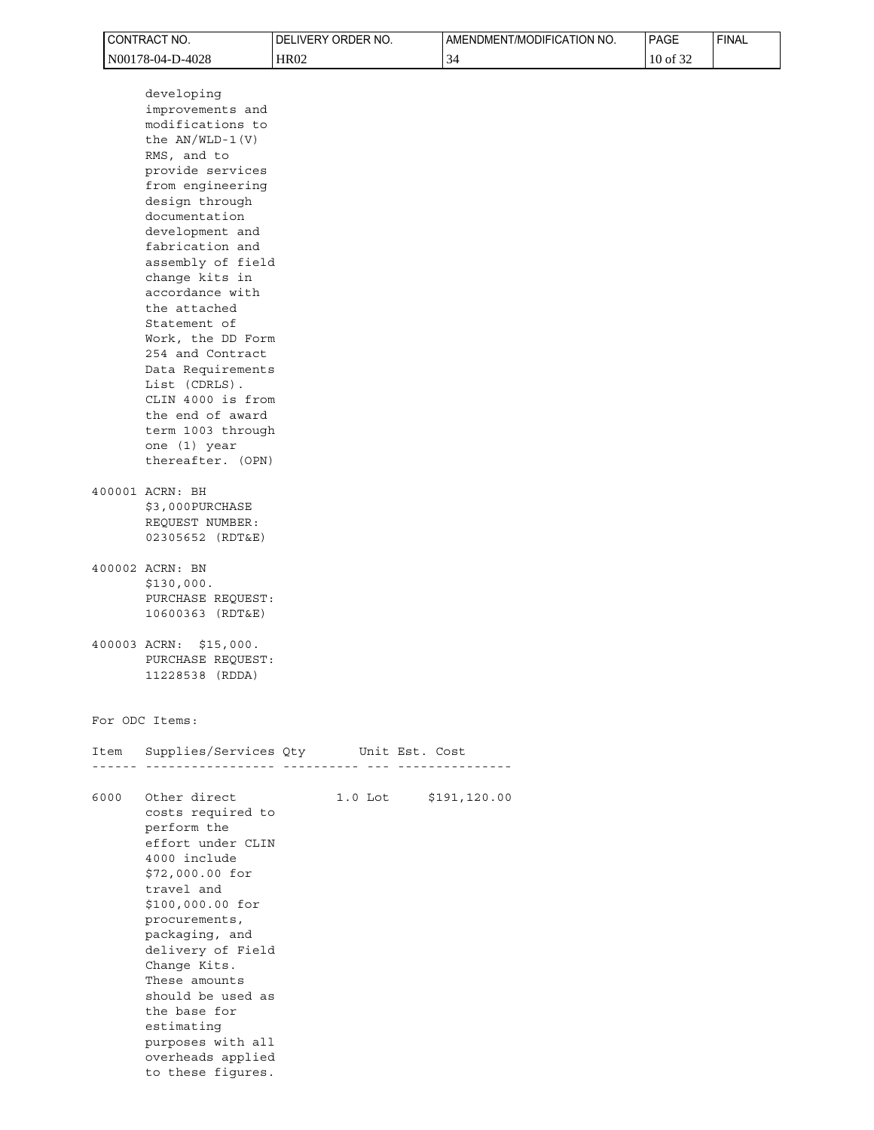|      | CONTRACT NO.                         | DELIVERY ORDER NO. |               | AMENDMENT/MODIFICATION NO. | PAGE     | <b>FINAL</b> |
|------|--------------------------------------|--------------------|---------------|----------------------------|----------|--------------|
|      | N00178-04-D-4028                     | <b>HR02</b>        | 34            |                            | 10 of 32 |              |
|      | developing                           |                    |               |                            |          |              |
|      | improvements and                     |                    |               |                            |          |              |
|      | modifications to                     |                    |               |                            |          |              |
|      | the $AN/WLD-1(V)$                    |                    |               |                            |          |              |
|      | RMS, and to                          |                    |               |                            |          |              |
|      | provide services                     |                    |               |                            |          |              |
|      | from engineering                     |                    |               |                            |          |              |
|      | design through                       |                    |               |                            |          |              |
|      | documentation                        |                    |               |                            |          |              |
|      | development and                      |                    |               |                            |          |              |
|      | fabrication and                      |                    |               |                            |          |              |
|      | assembly of field                    |                    |               |                            |          |              |
|      | change kits in                       |                    |               |                            |          |              |
|      | accordance with                      |                    |               |                            |          |              |
|      | the attached                         |                    |               |                            |          |              |
|      | Statement of                         |                    |               |                            |          |              |
|      | Work, the DD Form                    |                    |               |                            |          |              |
|      | 254 and Contract                     |                    |               |                            |          |              |
|      | Data Requirements                    |                    |               |                            |          |              |
|      | List (CDRLS).                        |                    |               |                            |          |              |
|      | CLIN 4000 is from                    |                    |               |                            |          |              |
|      | the end of award                     |                    |               |                            |          |              |
|      | term 1003 through                    |                    |               |                            |          |              |
|      | one (1) year                         |                    |               |                            |          |              |
|      | thereafter. (OPN)                    |                    |               |                            |          |              |
|      | 400001 ACRN: BH                      |                    |               |                            |          |              |
|      | \$3,000PURCHASE                      |                    |               |                            |          |              |
|      | REQUEST NUMBER:                      |                    |               |                            |          |              |
|      | 02305652 (RDT&E)                     |                    |               |                            |          |              |
|      |                                      |                    |               |                            |          |              |
|      | 400002 ACRN: BN                      |                    |               |                            |          |              |
|      | \$130,000.                           |                    |               |                            |          |              |
|      | PURCHASE REQUEST:                    |                    |               |                            |          |              |
|      | 10600363 (RDT&E)                     |                    |               |                            |          |              |
|      | 400003 ACRN:<br>\$15,000.            |                    |               |                            |          |              |
|      | PURCHASE REQUEST:                    |                    |               |                            |          |              |
|      | 11228538 (RDDA)                      |                    |               |                            |          |              |
|      |                                      |                    |               |                            |          |              |
|      | For ODC Items:                       |                    |               |                            |          |              |
|      |                                      |                    |               |                            |          |              |
| Item | Supplies/Services Qty Unit Est. Cost | . <u>.</u>         |               |                            |          |              |
|      |                                      |                    |               |                            |          |              |
| 6000 | Other direct                         | $1.0$ Lot          | \$191, 120.00 |                            |          |              |
|      | costs required to                    |                    |               |                            |          |              |
|      | perform the                          |                    |               |                            |          |              |
|      | effort under CLIN<br>4000 include    |                    |               |                            |          |              |
|      | \$72,000.00 for                      |                    |               |                            |          |              |
|      | travel and                           |                    |               |                            |          |              |
|      | \$100,000.00 for                     |                    |               |                            |          |              |
|      | procurements,                        |                    |               |                            |          |              |
|      | packaging, and                       |                    |               |                            |          |              |
|      | delivery of Field                    |                    |               |                            |          |              |
|      | Change Kits.                         |                    |               |                            |          |              |
|      | These amounts                        |                    |               |                            |          |              |
|      | should be used as                    |                    |               |                            |          |              |
|      | the base for                         |                    |               |                            |          |              |
|      | estimating                           |                    |               |                            |          |              |
|      | purposes with all                    |                    |               |                            |          |              |
|      | overheads applied                    |                    |               |                            |          |              |
|      | to these figures.                    |                    |               |                            |          |              |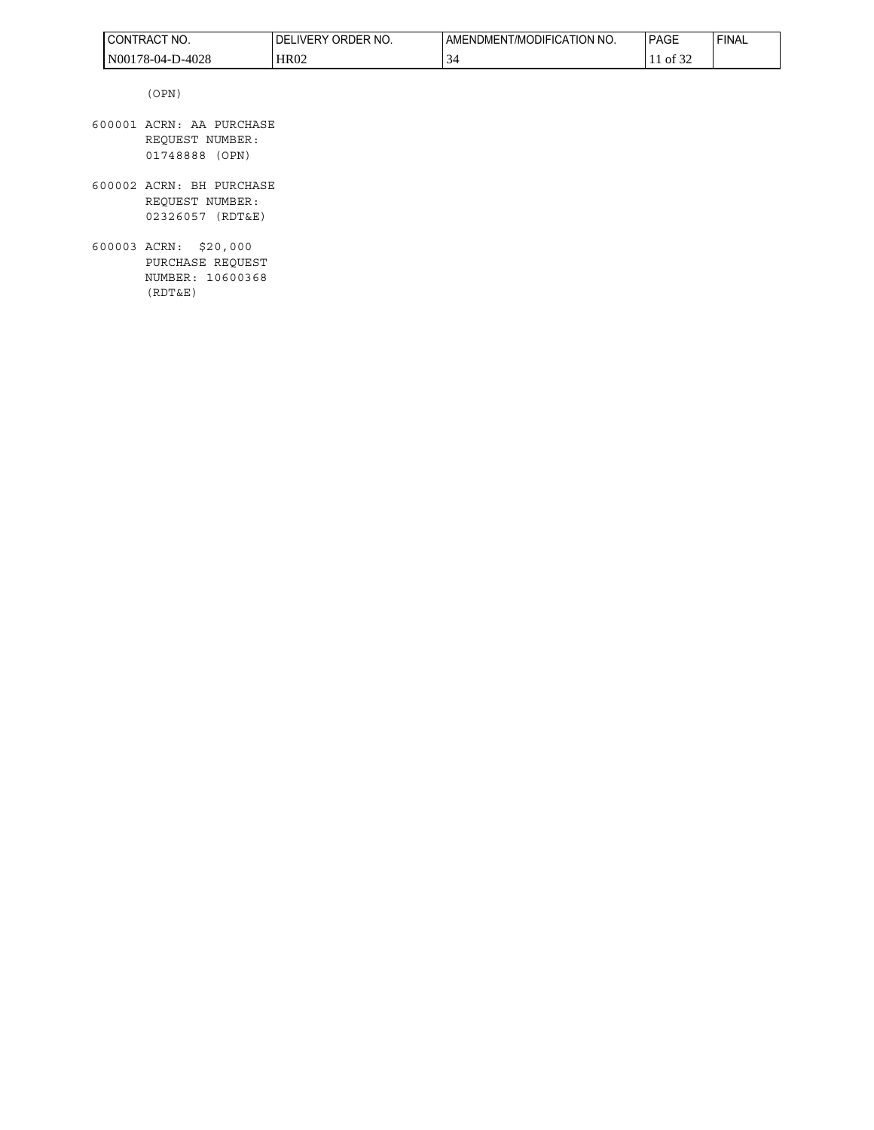| <b>I CONTRACT</b><br>NO. | ORDER NO.<br><b>LIVERY</b><br>DEI | AMENDMENT/MODIFICATION NO. | <b>PAGE</b>            | <b>FINAL</b> |
|--------------------------|-----------------------------------|----------------------------|------------------------|--------------|
| 178-04-D-4028<br>  N001  | HR02                              | -<br>- 34                  | $\sim$ $\sim$<br>of 32 |              |

(OPN)

- 600001 ACRN: AA PURCHASE REQUEST NUMBER: 01748888 (OPN)
- 600002 ACRN: BH PURCHASE REQUEST NUMBER: 02326057 (RDT&E)
- 600003 ACRN: \$20,000 PURCHASE REQUEST NUMBER: 10600368 (RDT&E)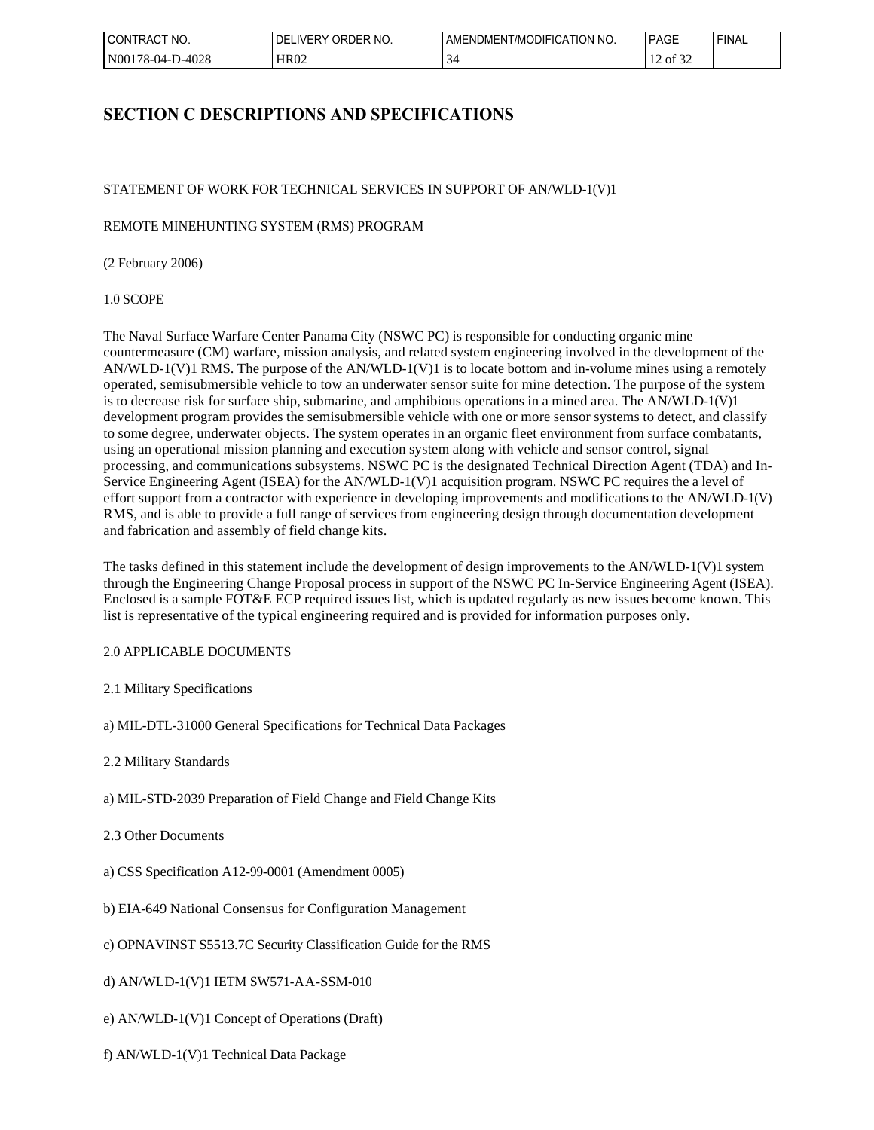| l CON<br>NO.<br>⊥RAC⊥          | ORDER NO.<br>DΕ<br><b>IVERY</b> | ' NO.<br><b>CATION'</b><br>JDIFIC<br>T/MC<br>JMEN.<br>AMFNL' | <b>PAGE</b>         | <b>FINAL</b> |
|--------------------------------|---------------------------------|--------------------------------------------------------------|---------------------|--------------|
| N00<br>0-4028<br>$16 - 04 - 1$ | <b>HR02</b>                     | ىر                                                           | $\sim$<br>Οİ<br>-24 |              |

## **SECTION C DESCRIPTIONS AND SPECIFICATIONS**

## STATEMENT OF WORK FOR TECHNICAL SERVICES IN SUPPORT OF AN/WLD-1(V)1

REMOTE MINEHUNTING SYSTEM (RMS) PROGRAM

(2 February 2006)

1.0 SCOPE

The Naval Surface Warfare Center Panama City (NSWC PC) is responsible for conducting organic mine countermeasure (CM) warfare, mission analysis, and related system engineering involved in the development of the AN/WLD-1(V)1 RMS. The purpose of the AN/WLD-1(V)1 is to locate bottom and in-volume mines using a remotely operated, semisubmersible vehicle to tow an underwater sensor suite for mine detection. The purpose of the system is to decrease risk for surface ship, submarine, and amphibious operations in a mined area. The AN/WLD-1(V)1 development program provides the semisubmersible vehicle with one or more sensor systems to detect, and classify to some degree, underwater objects. The system operates in an organic fleet environment from surface combatants, using an operational mission planning and execution system along with vehicle and sensor control, signal processing, and communications subsystems. NSWC PC is the designated Technical Direction Agent (TDA) and In-Service Engineering Agent (ISEA) for the AN/WLD-1(V)1 acquisition program. NSWC PC requires the a level of effort support from a contractor with experience in developing improvements and modifications to the AN/WLD-1(V) RMS, and is able to provide a full range of services from engineering design through documentation development and fabrication and assembly of field change kits.

The tasks defined in this statement include the development of design improvements to the AN/WLD-1(V)1 system through the Engineering Change Proposal process in support of the NSWC PC In-Service Engineering Agent (ISEA). Enclosed is a sample FOT&E ECP required issues list, which is updated regularly as new issues become known. This list is representative of the typical engineering required and is provided for information purposes only.

## 2.0 APPLICABLE DOCUMENTS

#### 2.1 Military Specifications

a) MIL-DTL-31000 General Specifications for Technical Data Packages

2.2 Military Standards

- a) MIL-STD-2039 Preparation of Field Change and Field Change Kits
- 2.3 Other Documents
- a) CSS Specification A12-99-0001 (Amendment 0005)
- b) EIA-649 National Consensus for Configuration Management
- c) OPNAVINST S5513.7C Security Classification Guide for the RMS

## d) AN/WLD-1(V)1 IETM SW571-AA-SSM-010

- e) AN/WLD-1(V)1 Concept of Operations (Draft)
- f) AN/WLD-1(V)1 Technical Data Package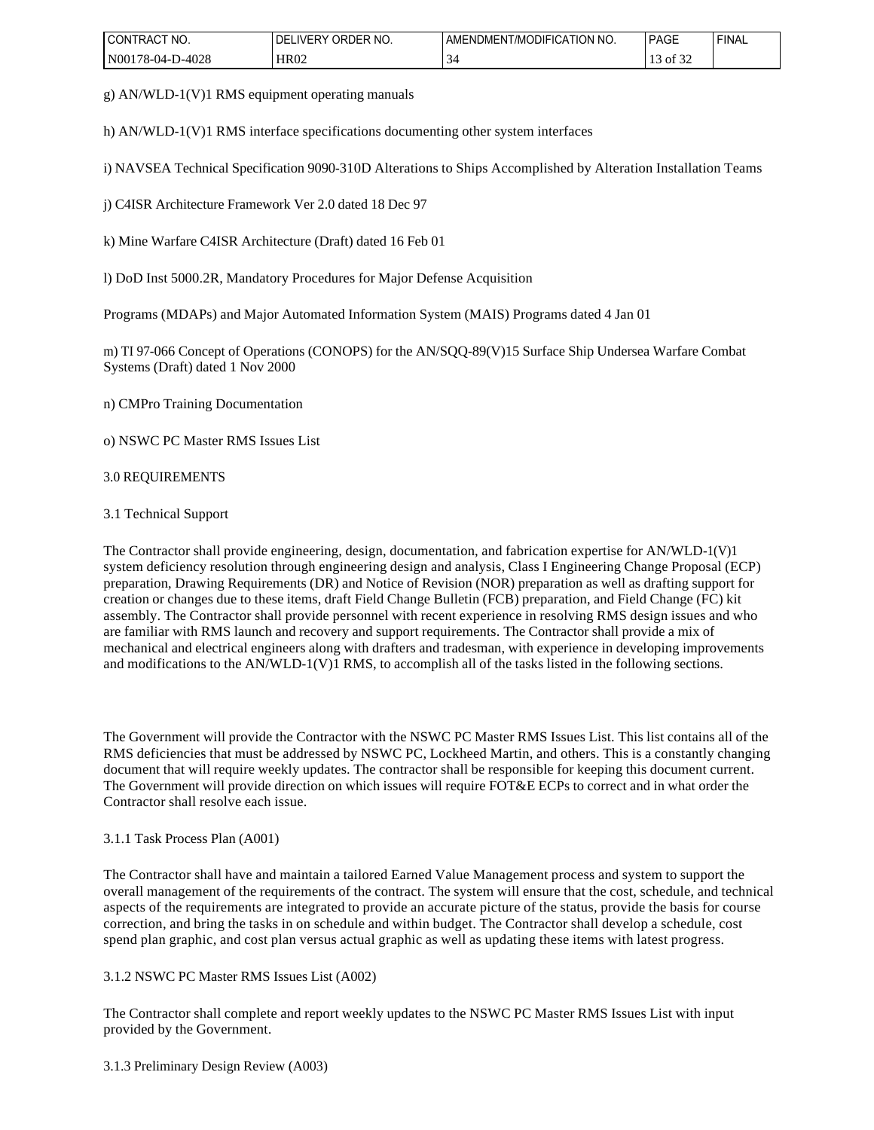| CONTRACT<br>NO.                    | ORDER NO.<br>DF<br>.\/EDV | ' NO.<br>ODIFICATION<br>I /MC<br>…HIENDMEN!‴ | <b>PAGE</b>      | <b>FINAL</b> |
|------------------------------------|---------------------------|----------------------------------------------|------------------|--------------|
| N001<br>D-4028<br>$16-04-1$<br>___ | HR02                      | ىر                                           | ΟĪ<br>-24<br>___ |              |

g) AN/WLD-1(V)1 RMS equipment operating manuals

h) AN/WLD-1(V)1 RMS interface specifications documenting other system interfaces

i) NAVSEA Technical Specification 9090-310D Alterations to Ships Accomplished by Alteration Installation Teams

j) C4ISR Architecture Framework Ver 2.0 dated 18 Dec 97

k) Mine Warfare C4ISR Architecture (Draft) dated 16 Feb 01

l) DoD Inst 5000.2R, Mandatory Procedures for Major Defense Acquisition

Programs (MDAPs) and Major Automated Information System (MAIS) Programs dated 4 Jan 01

m) TI 97-066 Concept of Operations (CONOPS) for the AN/SQQ-89(V)15 Surface Ship Undersea Warfare Combat Systems (Draft) dated 1 Nov 2000

n) CMPro Training Documentation

o) NSWC PC Master RMS Issues List

#### 3.0 REQUIREMENTS

## 3.1 Technical Support

The Contractor shall provide engineering, design, documentation, and fabrication expertise for AN/WLD-1(V)1 system deficiency resolution through engineering design and analysis, Class I Engineering Change Proposal (ECP) preparation, Drawing Requirements (DR) and Notice of Revision (NOR) preparation as well as drafting support for creation or changes due to these items, draft Field Change Bulletin (FCB) preparation, and Field Change (FC) kit assembly. The Contractor shall provide personnel with recent experience in resolving RMS design issues and who are familiar with RMS launch and recovery and support requirements. The Contractor shall provide a mix of mechanical and electrical engineers along with drafters and tradesman, with experience in developing improvements and modifications to the AN/WLD-1(V)1 RMS, to accomplish all of the tasks listed in the following sections.

The Government will provide the Contractor with the NSWC PC Master RMS Issues List. This list contains all of the RMS deficiencies that must be addressed by NSWC PC, Lockheed Martin, and others. This is a constantly changing document that will require weekly updates. The contractor shall be responsible for keeping this document current. The Government will provide direction on which issues will require FOT&E ECPs to correct and in what order the Contractor shall resolve each issue.

#### 3.1.1 Task Process Plan (A001)

The Contractor shall have and maintain a tailored Earned Value Management process and system to support the overall management of the requirements of the contract. The system will ensure that the cost, schedule, and technical aspects of the requirements are integrated to provide an accurate picture of the status, provide the basis for course correction, and bring the tasks in on schedule and within budget. The Contractor shall develop a schedule, cost spend plan graphic, and cost plan versus actual graphic as well as updating these items with latest progress.

## 3.1.2 NSWC PC Master RMS Issues List (A002)

The Contractor shall complete and report weekly updates to the NSWC PC Master RMS Issues List with input provided by the Government.

## 3.1.3 Preliminary Design Review (A003)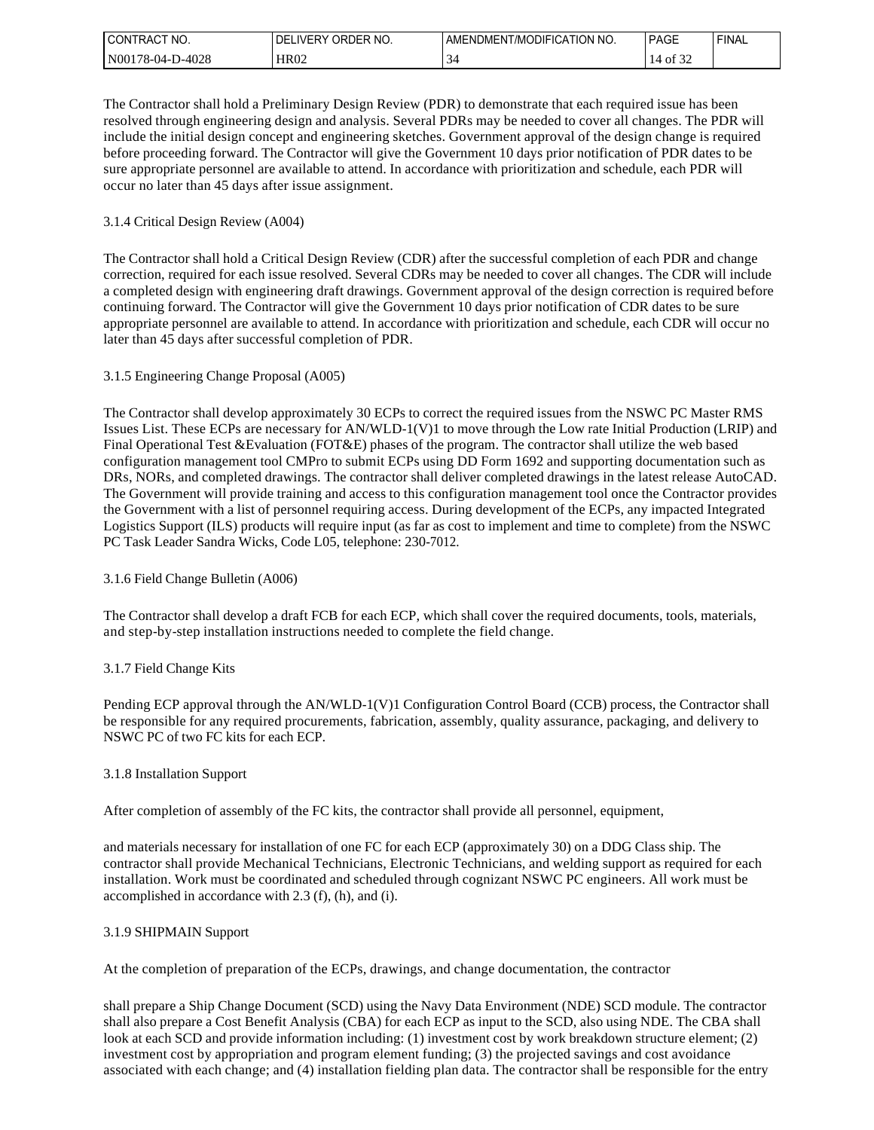| l CON<br>NO.<br>TRAC               | <b>ORDER NO.</b><br>IVEDY<br>٦F۱ | <b>DDIFICATION</b><br>' NO.<br>I /MC<br>AMENDMEN!" | <b>PAGE</b> | <b>FINAL</b> |
|------------------------------------|----------------------------------|----------------------------------------------------|-------------|--------------|
| N001<br>D-4028<br>$16-04-1$<br>___ | HR02                             |                                                    | ΟĪ          |              |

The Contractor shall hold a Preliminary Design Review (PDR) to demonstrate that each required issue has been resolved through engineering design and analysis. Several PDRs may be needed to cover all changes. The PDR will include the initial design concept and engineering sketches. Government approval of the design change is required before proceeding forward. The Contractor will give the Government 10 days prior notification of PDR dates to be sure appropriate personnel are available to attend. In accordance with prioritization and schedule, each PDR will occur no later than 45 days after issue assignment.

## 3.1.4 Critical Design Review (A004)

The Contractor shall hold a Critical Design Review (CDR) after the successful completion of each PDR and change correction, required for each issue resolved. Several CDRs may be needed to cover all changes. The CDR will include a completed design with engineering draft drawings. Government approval of the design correction is required before continuing forward. The Contractor will give the Government 10 days prior notification of CDR dates to be sure appropriate personnel are available to attend. In accordance with prioritization and schedule, each CDR will occur no later than 45 days after successful completion of PDR.

## 3.1.5 Engineering Change Proposal (A005)

The Contractor shall develop approximately 30 ECPs to correct the required issues from the NSWC PC Master RMS Issues List. These ECPs are necessary for AN/WLD-1(V)1 to move through the Low rate Initial Production (LRIP) and Final Operational Test &Evaluation (FOT&E) phases of the program. The contractor shall utilize the web based configuration management tool CMPro to submit ECPs using DD Form 1692 and supporting documentation such as DRs, NORs, and completed drawings. The contractor shall deliver completed drawings in the latest release AutoCAD. The Government will provide training and access to this configuration management tool once the Contractor provides the Government with a list of personnel requiring access. During development of the ECPs, any impacted Integrated Logistics Support (ILS) products will require input (as far as cost to implement and time to complete) from the NSWC PC Task Leader Sandra Wicks, Code L05, telephone: 230-7012.

## 3.1.6 Field Change Bulletin (A006)

The Contractor shall develop a draft FCB for each ECP, which shall cover the required documents, tools, materials, and step-by-step installation instructions needed to complete the field change.

## 3.1.7 Field Change Kits

Pending ECP approval through the AN/WLD-1(V)1 Configuration Control Board (CCB) process, the Contractor shall be responsible for any required procurements, fabrication, assembly, quality assurance, packaging, and delivery to NSWC PC of two FC kits for each ECP.

## 3.1.8 Installation Support

After completion of assembly of the FC kits, the contractor shall provide all personnel, equipment,

and materials necessary for installation of one FC for each ECP (approximately 30) on a DDG Class ship. The contractor shall provide Mechanical Technicians, Electronic Technicians, and welding support as required for each installation. Work must be coordinated and scheduled through cognizant NSWC PC engineers. All work must be accomplished in accordance with 2.3 (f), (h), and (i).

## 3.1.9 SHIPMAIN Support

At the completion of preparation of the ECPs, drawings, and change documentation, the contractor

shall prepare a Ship Change Document (SCD) using the Navy Data Environment (NDE) SCD module. The contractor shall also prepare a Cost Benefit Analysis (CBA) for each ECP as input to the SCD, also using NDE. The CBA shall look at each SCD and provide information including: (1) investment cost by work breakdown structure element; (2) investment cost by appropriation and program element funding; (3) the projected savings and cost avoidance associated with each change; and (4) installation fielding plan data. The contractor shall be responsible for the entry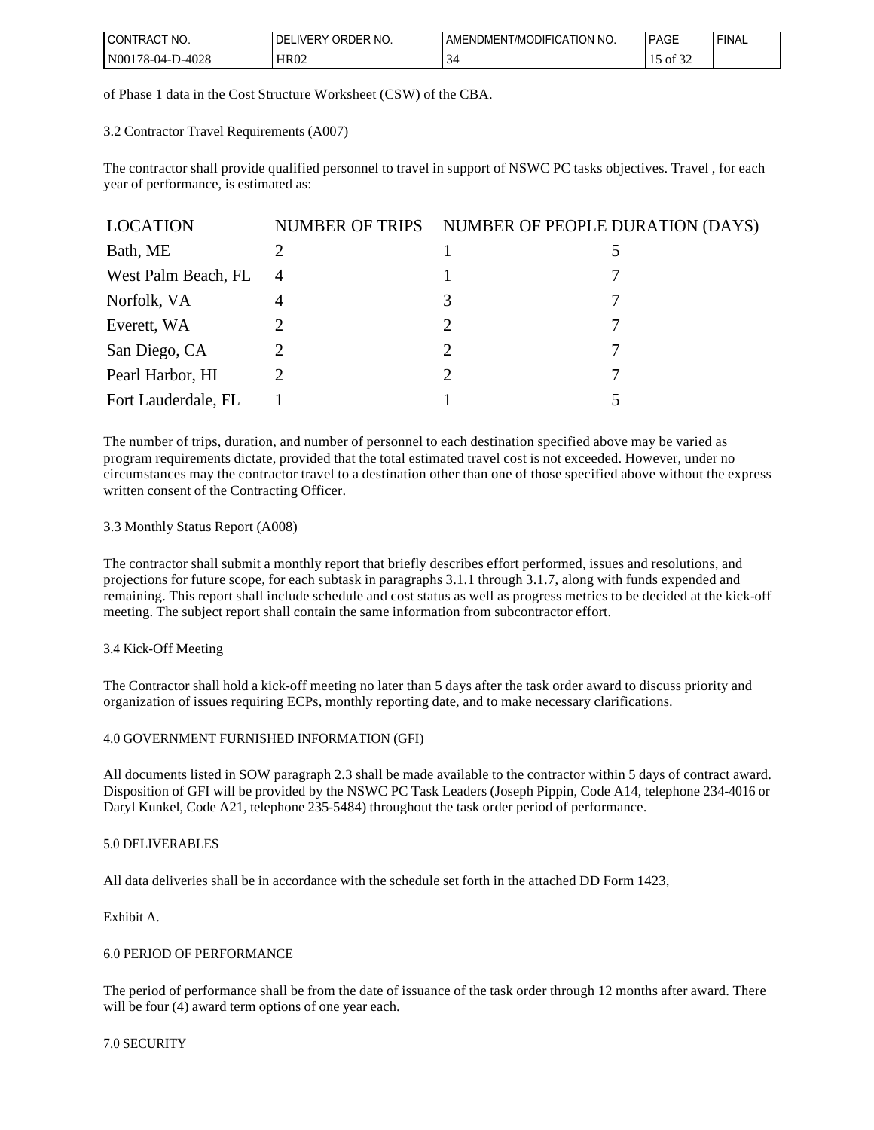| 'NO.<br>.)N<br><b>IRA</b>         | ריי RO.<br>ŊF.<br>יי טם∟…<br>יאנ. | NO.<br>TION<br>ODIFIC<br><b>AMENDMEN</b><br>/MC | <b>PAGE</b>           | <b>FINAL</b> |
|-----------------------------------|-----------------------------------|-------------------------------------------------|-----------------------|--------------|
| $'N00_1$<br>0-4028<br>.<br>$\sim$ | HR02                              | ◡                                               | ` Ol<br>-24<br>$\sim$ |              |

of Phase 1 data in the Cost Structure Worksheet (CSW) of the CBA.

## 3.2 Contractor Travel Requirements (A007)

The contractor shall provide qualified personnel to travel in support of NSWC PC tasks objectives. Travel , for each year of performance, is estimated as:

| <b>LOCATION</b>     | NUMBER OF TRIPS | NUMBER OF PEOPLE DURATION (DAYS) |  |
|---------------------|-----------------|----------------------------------|--|
| Bath, ME            |                 |                                  |  |
| West Palm Beach, FL | $\overline{4}$  |                                  |  |
| Norfolk, VA         |                 |                                  |  |
| Everett, WA         |                 | $\mathcal{D}$                    |  |
| San Diego, CA       |                 | 2                                |  |
| Pearl Harbor, HI    |                 |                                  |  |
| Fort Lauderdale, FL |                 |                                  |  |

The number of trips, duration, and number of personnel to each destination specified above may be varied as program requirements dictate, provided that the total estimated travel cost is not exceeded. However, under no circumstances may the contractor travel to a destination other than one of those specified above without the express written consent of the Contracting Officer.

## 3.3 Monthly Status Report (A008)

The contractor shall submit a monthly report that briefly describes effort performed, issues and resolutions, and projections for future scope, for each subtask in paragraphs 3.1.1 through 3.1.7, along with funds expended and remaining. This report shall include schedule and cost status as well as progress metrics to be decided at the kick-off meeting. The subject report shall contain the same information from subcontractor effort.

#### 3.4 Kick-Off Meeting

The Contractor shall hold a kick-off meeting no later than 5 days after the task order award to discuss priority and organization of issues requiring ECPs, monthly reporting date, and to make necessary clarifications.

#### 4.0 GOVERNMENT FURNISHED INFORMATION (GFI)

All documents listed in SOW paragraph 2.3 shall be made available to the contractor within 5 days of contract award. Disposition of GFI will be provided by the NSWC PC Task Leaders (Joseph Pippin, Code A14, telephone 234-4016 or Daryl Kunkel, Code A21, telephone 235-5484) throughout the task order period of performance.

#### 5.0 DELIVERABLES

All data deliveries shall be in accordance with the schedule set forth in the attached DD Form 1423,

Exhibit A.

## 6.0 PERIOD OF PERFORMANCE

The period of performance shall be from the date of issuance of the task order through 12 months after award. There will be four  $(4)$  award term options of one year each.

#### 7.0 SECURITY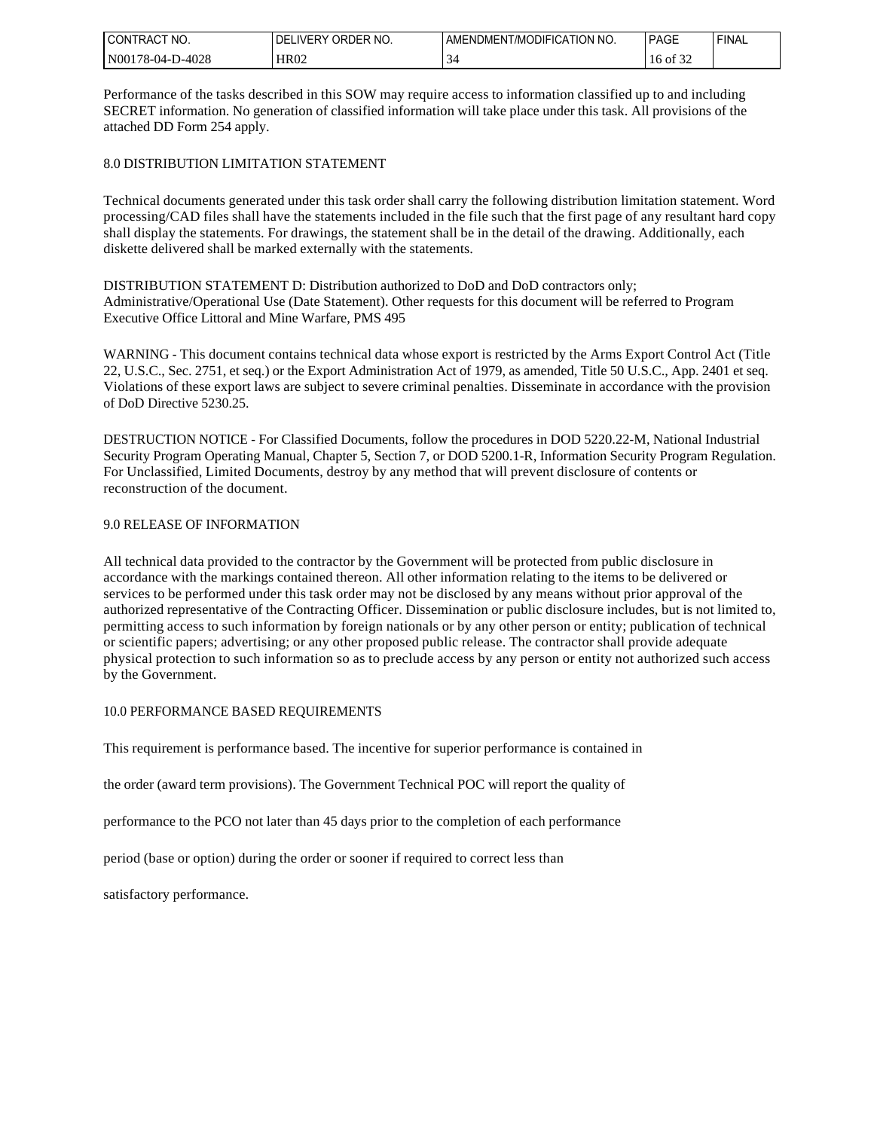| ICON'<br>NO.<br><b>TRACL</b>  | ORDER NO.<br>DF<br><b>IVERY</b> | ATION NO.<br>MODIFICA<br><b>AMENDMENT</b> | <b>PAGE</b> | ' FINAL |
|-------------------------------|---------------------------------|-------------------------------------------|-------------|---------|
| N001<br>D-4028<br>$178-04$ -J | <b>HR02</b>                     | C.                                        | 16 of       |         |

Performance of the tasks described in this SOW may require access to information classified up to and including SECRET information. No generation of classified information will take place under this task. All provisions of the attached DD Form 254 apply.

## 8.0 DISTRIBUTION LIMITATION STATEMENT

Technical documents generated under this task order shall carry the following distribution limitation statement. Word processing/CAD files shall have the statements included in the file such that the first page of any resultant hard copy shall display the statements. For drawings, the statement shall be in the detail of the drawing. Additionally, each diskette delivered shall be marked externally with the statements.

DISTRIBUTION STATEMENT D: Distribution authorized to DoD and DoD contractors only; Administrative/Operational Use (Date Statement). Other requests for this document will be referred to Program Executive Office Littoral and Mine Warfare, PMS 495

WARNING - This document contains technical data whose export is restricted by the Arms Export Control Act (Title 22, U.S.C., Sec. 2751, et seq.) or the Export Administration Act of 1979, as amended, Title 50 U.S.C., App. 2401 et seq. Violations of these export laws are subject to severe criminal penalties. Disseminate in accordance with the provision of DoD Directive 5230.25.

DESTRUCTION NOTICE - For Classified Documents, follow the procedures in DOD 5220.22-M, National Industrial Security Program Operating Manual, Chapter 5, Section 7, or DOD 5200.1-R, Information Security Program Regulation. For Unclassified, Limited Documents, destroy by any method that will prevent disclosure of contents or reconstruction of the document.

## 9.0 RELEASE OF INFORMATION

All technical data provided to the contractor by the Government will be protected from public disclosure in accordance with the markings contained thereon. All other information relating to the items to be delivered or services to be performed under this task order may not be disclosed by any means without prior approval of the authorized representative of the Contracting Officer. Dissemination or public disclosure includes, but is not limited to, permitting access to such information by foreign nationals or by any other person or entity; publication of technical or scientific papers; advertising; or any other proposed public release. The contractor shall provide adequate physical protection to such information so as to preclude access by any person or entity not authorized such access by the Government.

## 10.0 PERFORMANCE BASED REQUIREMENTS

This requirement is performance based. The incentive for superior performance is contained in

the order (award term provisions). The Government Technical POC will report the quality of

performance to the PCO not later than 45 days prior to the completion of each performance

period (base or option) during the order or sooner if required to correct less than

satisfactory performance.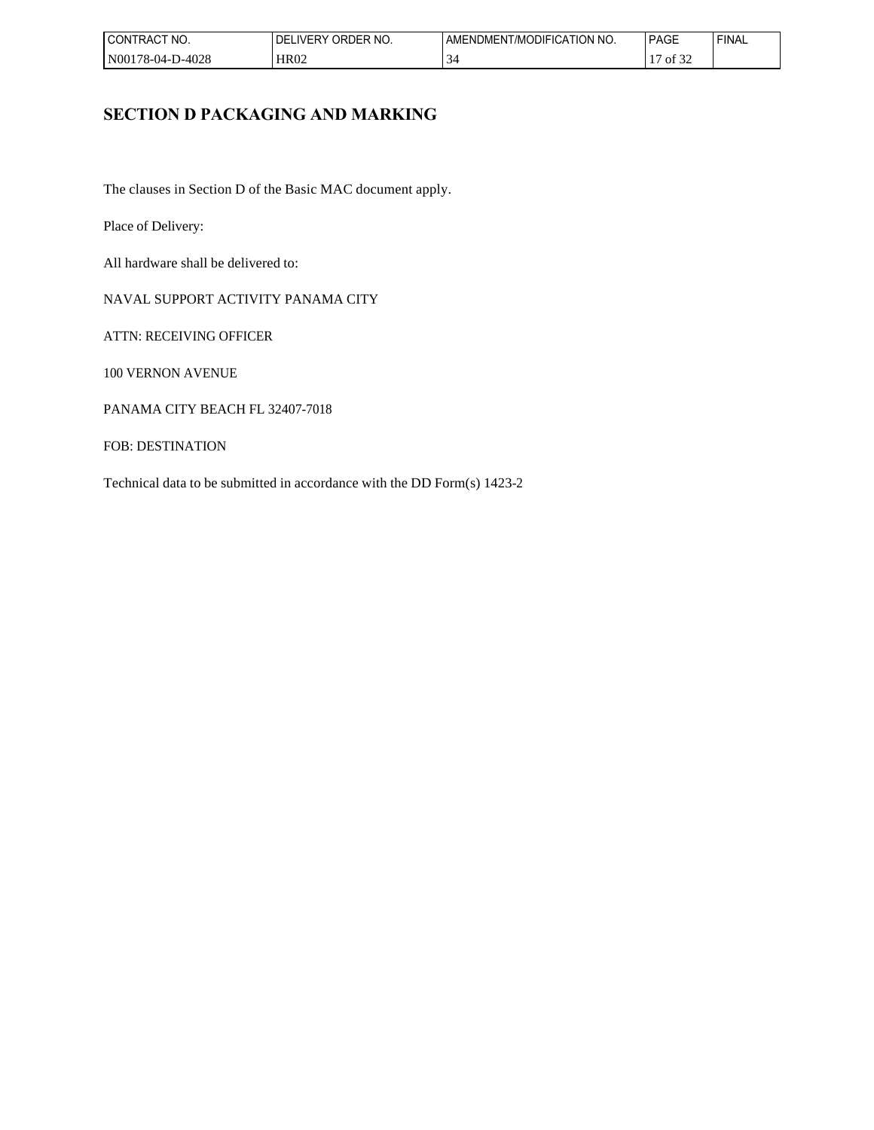| l CON<br>NO.<br>…RAC⊑           | ORDER NO.<br>.\/EDV<br>.)F | n no.<br>∴ATION ∴<br>ODIFIC<br>l /MC<br>aml<br><sup>. </sup> ″⊢NL…<br>'WHN. | PAGE                | <b>FINAL</b> |
|---------------------------------|----------------------------|-----------------------------------------------------------------------------|---------------------|--------------|
| N00<br>0-4028<br>$.78 - 04 - 1$ | HR <sub>02</sub>           | ັ                                                                           | $\sim$<br>O1<br>-22 |              |

# **SECTION D PACKAGING AND MARKING**

The clauses in Section D of the Basic MAC document apply.

Place of Delivery:

All hardware shall be delivered to:

NAVAL SUPPORT ACTIVITY PANAMA CITY

ATTN: RECEIVING OFFICER

100 VERNON AVENUE

PANAMA CITY BEACH FL 32407-7018

FOB: DESTINATION

Technical data to be submitted in accordance with the DD Form(s) 1423-2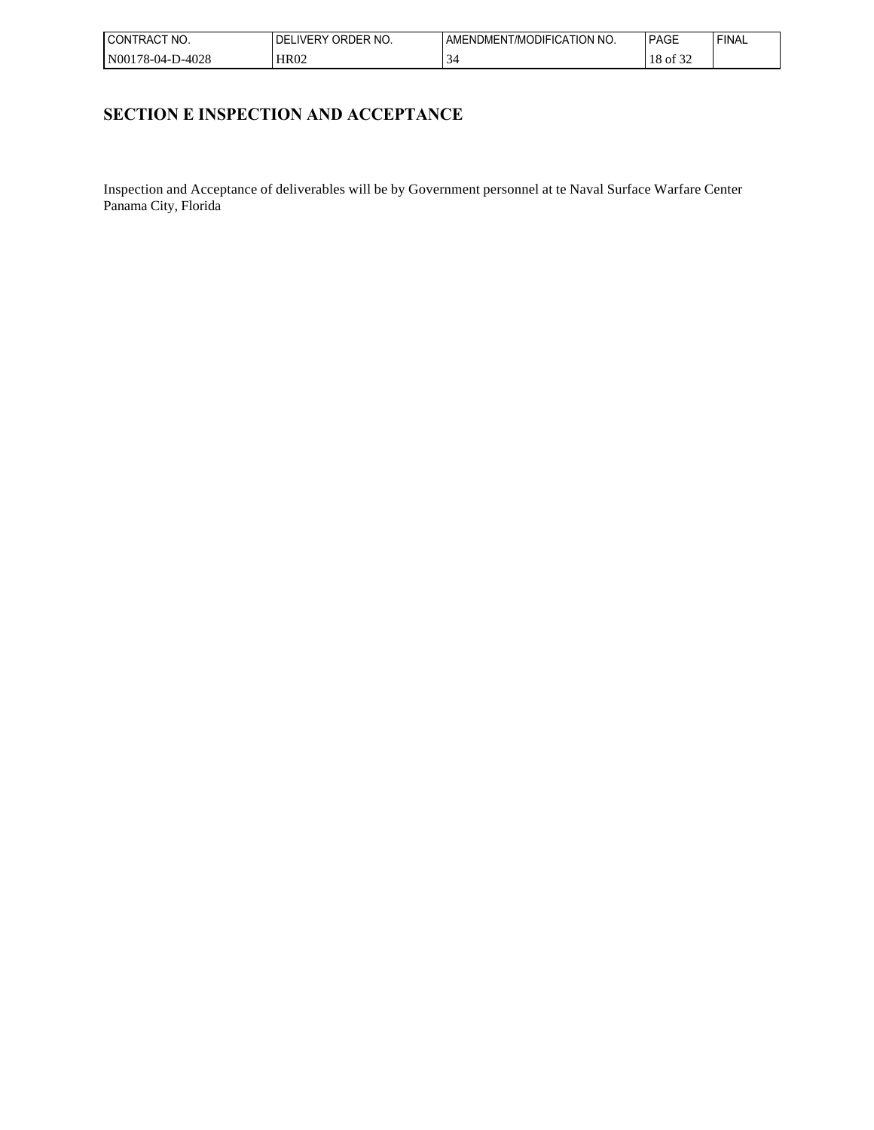| l CON"<br>'NO.<br>. RACT :        | ORDER NO.<br>DF<br><b>IVERY</b> | ' NO.<br>' ATION:<br>JDIFIC<br>l /MC<br>ΔΝ<br>JMEN<br>AMFNL' | <b>PAGE</b>  | <b>FINAL</b> |
|-----------------------------------|---------------------------------|--------------------------------------------------------------|--------------|--------------|
| l N00<br>0-4028<br>$1.6 - 04 - 1$ | <b>HR02</b>                     | ັ                                                            | $\sim$<br>Οİ |              |

# **SECTION E INSPECTION AND ACCEPTANCE**

Inspection and Acceptance of deliverables will be by Government personnel at te Naval Surface Warfare Center Panama City, Florida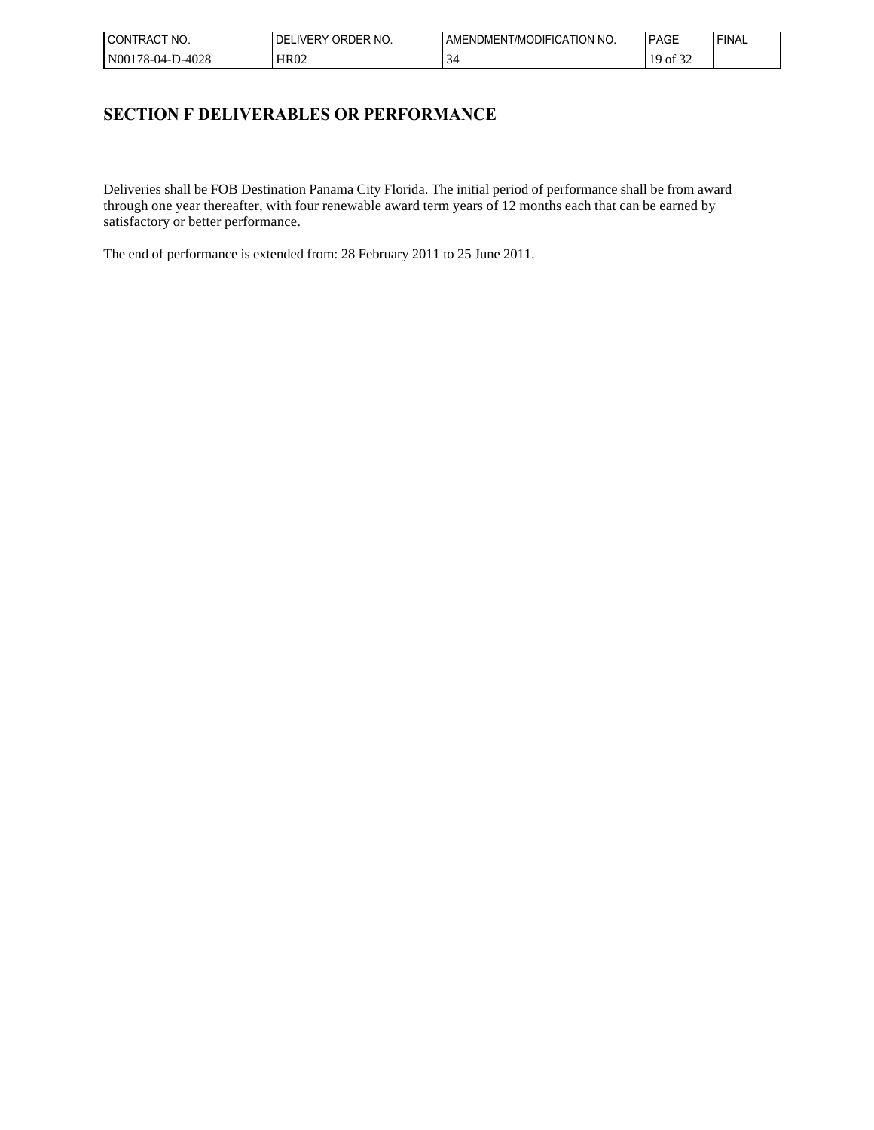| NO.<br><b>CONTRAC</b> | ORDER NO.<br>DF<br><b>IVERY</b> | T/MODIFICATION NO.<br>AMENDMENT | <b>PAGE</b>         | <b>FINAL</b> |
|-----------------------|---------------------------------|---------------------------------|---------------------|--------------|
| N00178-04-1<br>D-4028 | HR02                            | –ر .                            | $\sim$<br>Οİ<br>ے ر |              |

## **SECTION F DELIVERABLES OR PERFORMANCE**

Deliveries shall be FOB Destination Panama City Florida. The initial period of performance shall be from award through one year thereafter, with four renewable award term years of 12 months each that can be earned by satisfactory or better performance.

The end of performance is extended from: 28 February 2011 to 25 June 2011.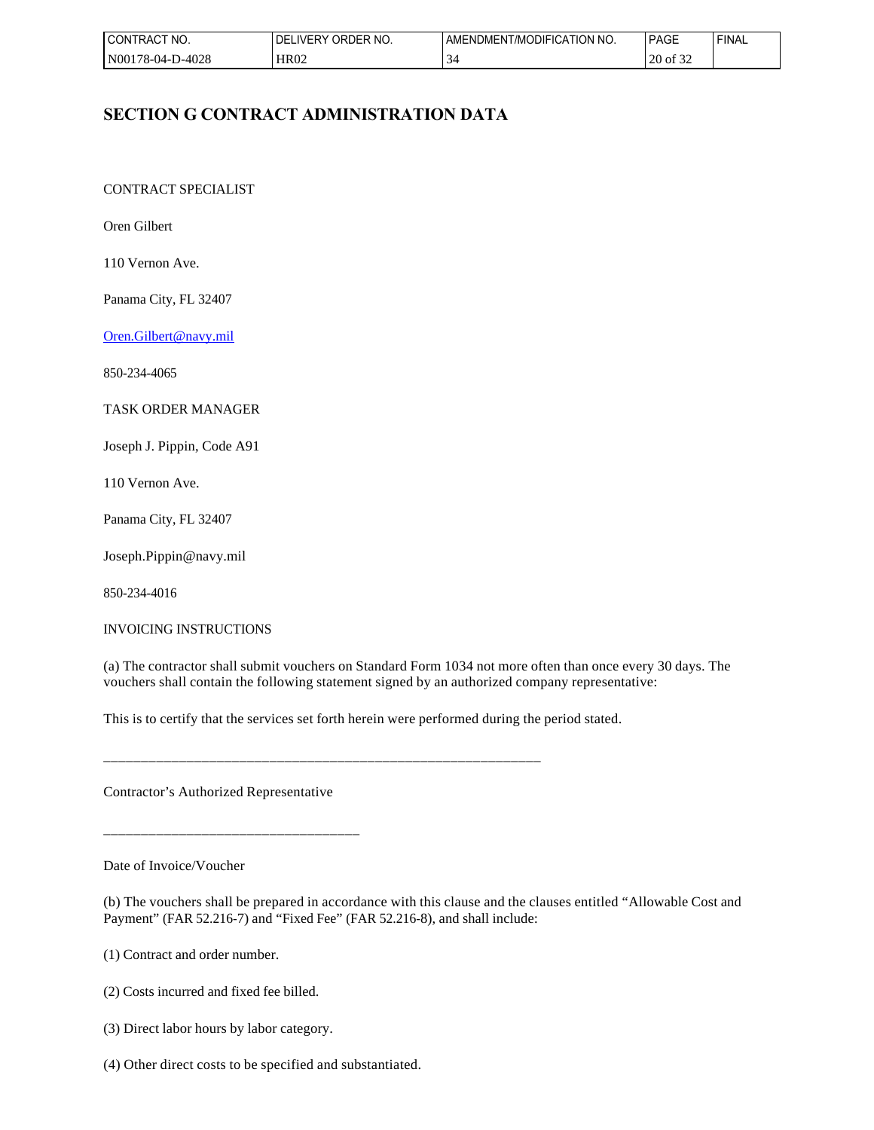| I CONTRACT<br>NO.     | ORDER NO.<br><b>INFRY</b><br>DFI | 'T/MODIFICATION NO.<br>AMENDMEN I | <b>PAGE</b>               | <b>FINAL</b> |
|-----------------------|----------------------------------|-----------------------------------|---------------------------|--------------|
| N00178-04-L<br>D-4028 | HR02                             | ىر                                | $\sim$ $\sim$<br>20 of 32 |              |

# **SECTION G CONTRACT ADMINISTRATION DATA**

CONTRACT SPECIALIST

Oren Gilbert

110 Vernon Ave.

Panama City, FL 32407

[Oren.Gilbert@navy.mil](mailto:Oren.Gilbert@navy.mil)

850-234-4065

TASK ORDER MANAGER

Joseph J. Pippin, Code A91

110 Vernon Ave.

Panama City, FL 32407

Joseph.Pippin@navy.mil

850-234-4016

#### INVOICING INSTRUCTIONS

(a) The contractor shall submit vouchers on Standard Form 1034 not more often than once every 30 days. The vouchers shall contain the following statement signed by an authorized company representative:

This is to certify that the services set forth herein were performed during the period stated.

\_\_\_\_\_\_\_\_\_\_\_\_\_\_\_\_\_\_\_\_\_\_\_\_\_\_\_\_\_\_\_\_\_\_\_\_\_\_\_\_\_\_\_\_\_\_\_\_\_\_\_\_\_\_\_\_\_\_

Contractor's Authorized Representative

\_\_\_\_\_\_\_\_\_\_\_\_\_\_\_\_\_\_\_\_\_\_\_\_\_\_\_\_\_\_\_\_\_\_

Date of Invoice/Voucher

(b) The vouchers shall be prepared in accordance with this clause and the clauses entitled "Allowable Cost and Payment" (FAR 52.216-7) and "Fixed Fee" (FAR 52.216-8), and shall include:

(1) Contract and order number.

(2) Costs incurred and fixed fee billed.

- (3) Direct labor hours by labor category.
- (4) Other direct costs to be specified and substantiated.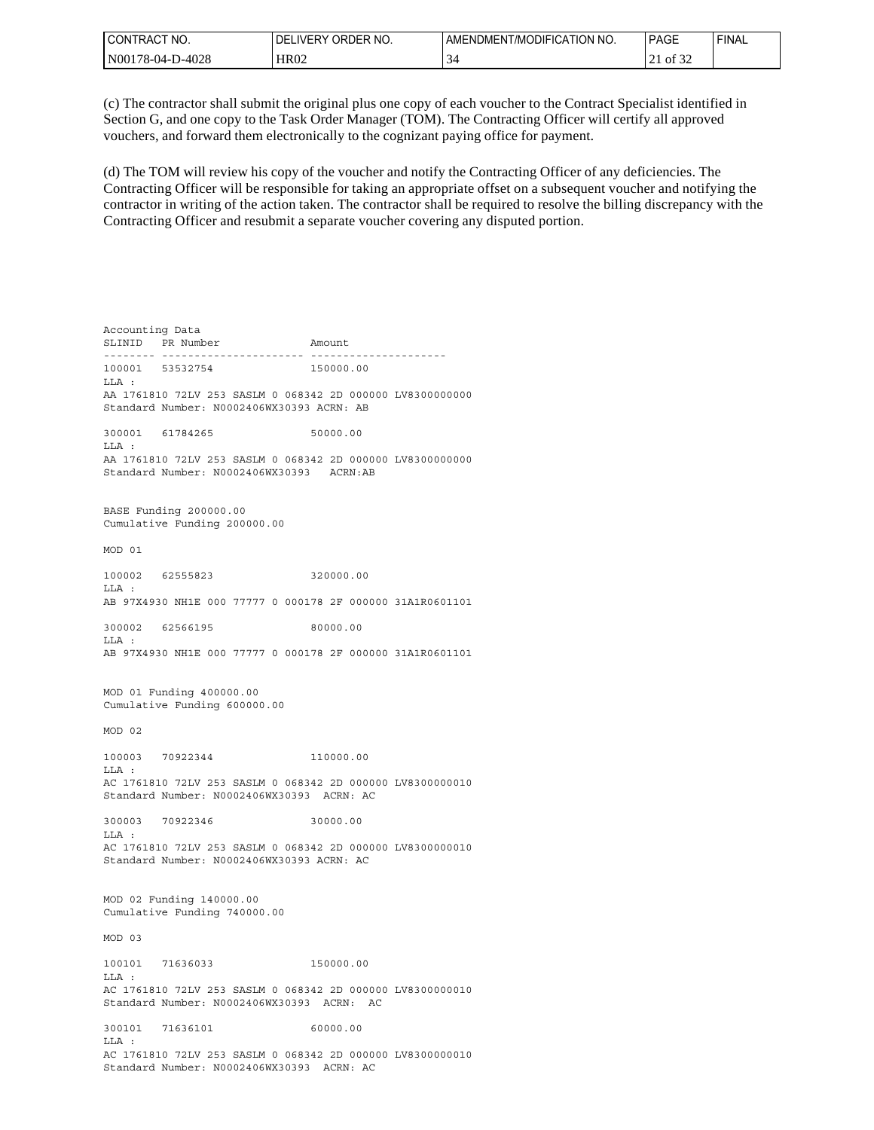| I CONTRACT NO.          | ORDER NO.<br><b>ELIVERY</b><br>⊥DE' | I AMENDMENT/MODIFICATION NO. | <b>PAGE</b>                              | <b>FINAL</b> |
|-------------------------|-------------------------------------|------------------------------|------------------------------------------|--------------|
| l N00178-04-L<br>D-4028 | <b>HR02</b>                         | ىر.                          | $\sim$ $\sim$<br>- of<br>$\sim$ 1<br>-24 |              |

(c) The contractor shall submit the original plus one copy of each voucher to the Contract Specialist identified in Section G, and one copy to the Task Order Manager (TOM). The Contracting Officer will certify all approved vouchers, and forward them electronically to the cognizant paying office for payment.

(d) The TOM will review his copy of the voucher and notify the Contracting Officer of any deficiencies. The Contracting Officer will be responsible for taking an appropriate offset on a subsequent voucher and notifying the contractor in writing of the action taken. The contractor shall be required to resolve the billing discrepancy with the Contracting Officer and resubmit a separate voucher covering any disputed portion.

Accounting Data SLINID PR Number Amount -------- ---------------------- --------------------- 100001 53532754 150000.00  $T.T.A$  : AA 1761810 72LV 253 SASLM 0 068342 2D 000000 LV8300000000 Standard Number: N0002406WX30393 ACRN: AB 300001 61784265 50000.00  $T.T.A$  : AA 1761810 72LV 253 SASLM 0 068342 2D 000000 LV8300000000 Standard Number: N0002406WX30393 ACRN:AB BASE Funding 200000.00 Cumulative Funding 200000.00 MOD 01 100002 62555823 320000.00 LLA : AB 97X4930 NH1E 000 77777 0 000178 2F 000000 31A1R0601101 300002 62566195 80000.00 LLA : AB 97X4930 NH1E 000 77777 0 000178 2F 000000 31A1R0601101 MOD 01 Funding 400000.00 Cumulative Funding 600000.00 MOD 02 100003 70922344 110000.00 LLA : AC 1761810 72LV 253 SASLM 0 068342 2D 000000 LV8300000010 Standard Number: N0002406WX30393 ACRN: AC 300003 70922346 30000.00  $T.T.A$  : AC 1761810 72LV 253 SASLM 0 068342 2D 000000 LV8300000010 Standard Number: N0002406WX30393 ACRN: AC MOD 02 Funding 140000.00 Cumulative Funding 740000.00 MOD 03 100101 71636033 150000.00 LLA : AC 1761810 72LV 253 SASLM 0 068342 2D 000000 LV8300000010 Standard Number: N0002406WX30393 ACRN: AC 300101 71636101 60000.00  $T.T.A$  : AC 1761810 72LV 253 SASLM 0 068342 2D 000000 LV8300000010

Standard Number: N0002406WX30393 ACRN: AC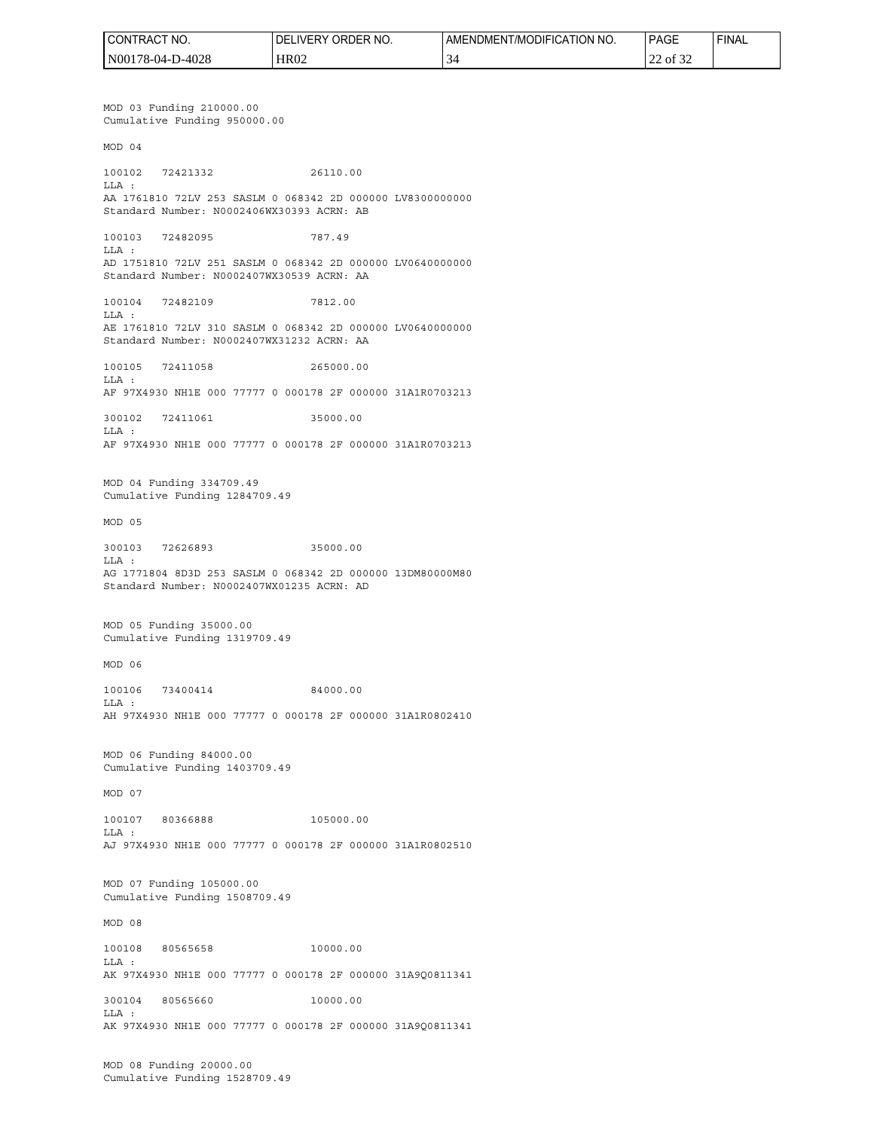| ' CONTRACT NO.   | LIVERY ORDER NO.<br>DEL | AMENDMENT/MODIFICATION NO. | <b>PAGE</b>                           | <b>FINAL</b> |
|------------------|-------------------------|----------------------------|---------------------------------------|--------------|
| N00178-04-D-4028 | <b>HR02</b>             |                            | $\sim$ $\sim$<br>of $32$<br><u>__</u> |              |

MOD 03 Funding 210000.00 Cumulative Funding 950000.00 MOD 04 100102 72421332 26110.00 LLA : AA 1761810 72LV 253 SASLM 0 068342 2D 000000 LV8300000000 Standard Number: N0002406WX30393 ACRN: AB 100103 72482095 787.49 LLA : AD 1751810 72LV 251 SASLM 0 068342 2D 000000 LV0640000000 Standard Number: N0002407WX30539 ACRN: AA 100104 72482109 7812.00  $T.T.A$  : AE 1761810 72LV 310 SASLM 0 068342 2D 000000 LV0640000000 Standard Number: N0002407WX31232 ACRN: AA 100105 72411058 265000.00 LLA : AF 97X4930 NH1E 000 77777 0 000178 2F 000000 31A1R0703213 300102 72411061 35000.00 LLA : AF 97X4930 NH1E 000 77777 0 000178 2F 000000 31A1R0703213 MOD 04 Funding 334709.49 Cumulative Funding 1284709.49 MOD 05 300103 72626893 35000.00 LLA : AG 1771804 8D3D 253 SASLM 0 068342 2D 000000 13DM80000M80 Standard Number: N0002407WX01235 ACRN: AD MOD 05 Funding 35000.00 Cumulative Funding 1319709.49 MOD 06 100106 73400414 84000.00 LLA : AH 97X4930 NH1E 000 77777 0 000178 2F 000000 31A1R0802410 MOD 06 Funding 84000.00 Cumulative Funding 1403709.49 MOD 07 100107 80366888 105000.00 LLA : AJ 97X4930 NH1E 000 77777 0 000178 2F 000000 31A1R0802510 MOD 07 Funding 105000.00 Cumulative Funding 1508709.49 MOD 08 100108 80565658 10000.00 LLA : AK 97X4930 NH1E 000 77777 0 000178 2F 000000 31A9Q0811341 300104 80565660 10000.00 LLA : AK 97X4930 NH1E 000 77777 0 000178 2F 000000 31A9Q0811341

MOD 08 Funding 20000.00 Cumulative Funding 1528709.49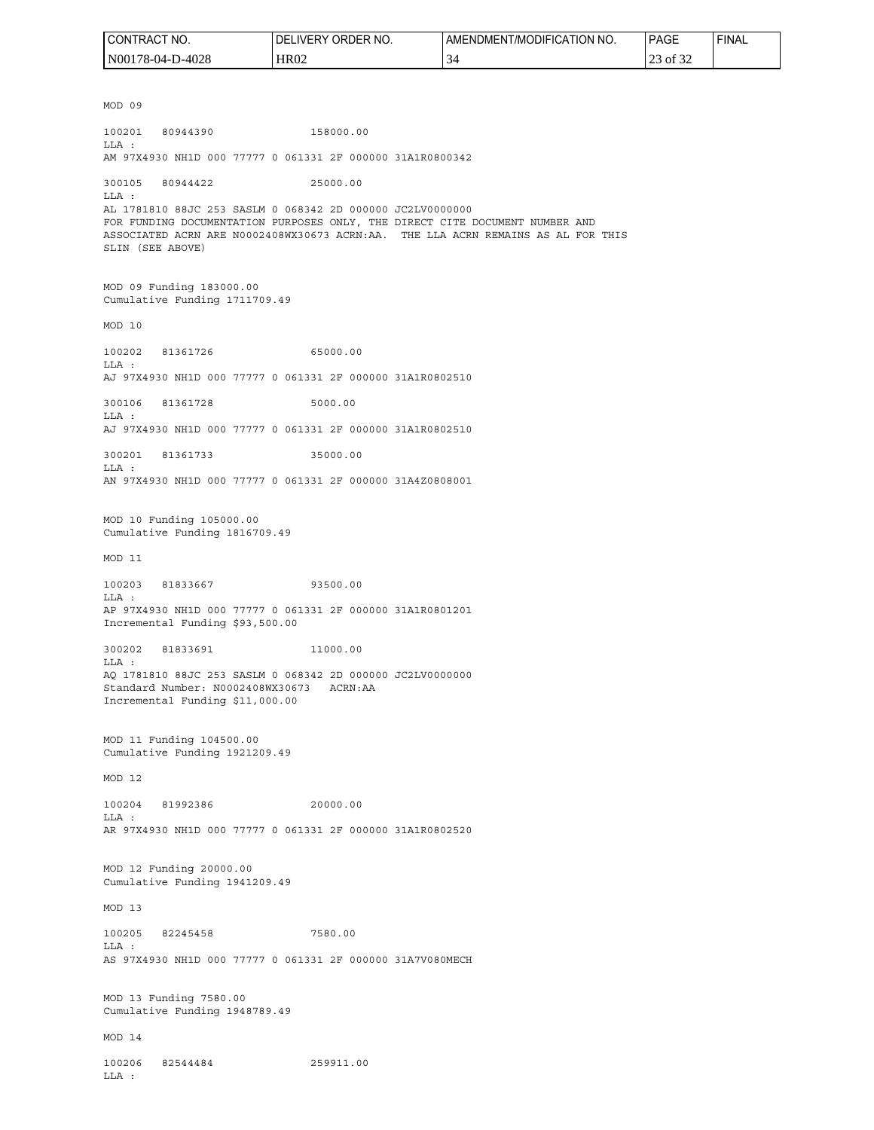| CT NO.<br><u> CONTRACT</u> | ORDER NO.<br>.IVERY<br><b>DEL</b> | I AMENDMENT/MODIFICATION NO. | <b>PAGE</b>        | 'FINAL |
|----------------------------|-----------------------------------|------------------------------|--------------------|--------|
| N00178-04-D-4028           | <b>HR02</b>                       |                              | . .<br>of 32<br>رے |        |

MOD 09 100201 80944390 158000.00 LLA : AM 97X4930 NH1D 000 77777 0 061331 2F 000000 31A1R0800342 300105 80944422 25000.00 LLA : AL 1781810 88JC 253 SASLM 0 068342 2D 000000 JC2LV0000000 FOR FUNDING DOCUMENTATION PURPOSES ONLY, THE DIRECT CITE DOCUMENT NUMBER AND ASSOCIATED ACRN ARE N0002408WX30673 ACRN:AA. THE LLA ACRN REMAINS AS AL FOR THIS SLIN (SEE ABOVE) MOD 09 Funding 183000.00 Cumulative Funding 1711709.49 MOD 10 100202 81361726 65000.00 LLA : AJ 97X4930 NH1D 000 77777 0 061331 2F 000000 31A1R0802510 300106 81361728 5000.00 LLA : AJ 97X4930 NH1D 000 77777 0 061331 2F 000000 31A1R0802510 300201 81361733 35000.00 LLA : AN 97X4930 NH1D 000 77777 0 061331 2F 000000 31A4Z0808001 MOD 10 Funding 105000.00 Cumulative Funding 1816709.49 MOD 11 100203 81833667 93500.00 LLA : AP 97X4930 NH1D 000 77777 0 061331 2F 000000 31A1R0801201 Incremental Funding \$93,500.00 300202 81833691 11000.00 LLA : AQ 1781810 88JC 253 SASLM 0 068342 2D 000000 JC2LV0000000 Standard Number: N0002408WX30673 ACRN:AA Incremental Funding \$11,000.00 MOD 11 Funding 104500.00 Cumulative Funding 1921209.49 MOD 12 100204 81992386 20000.00 LLA : AR 97X4930 NH1D 000 77777 0 061331 2F 000000 31A1R0802520 MOD 12 Funding 20000.00 Cumulative Funding 1941209.49 MOD 13 100205 82245458 7580.00 LLA : AS 97X4930 NH1D 000 77777 0 061331 2F 000000 31A7V080MECH MOD 13 Funding 7580.00 Cumulative Funding 1948789.49 MOD 14 100206 82544484 259911.00 LLA :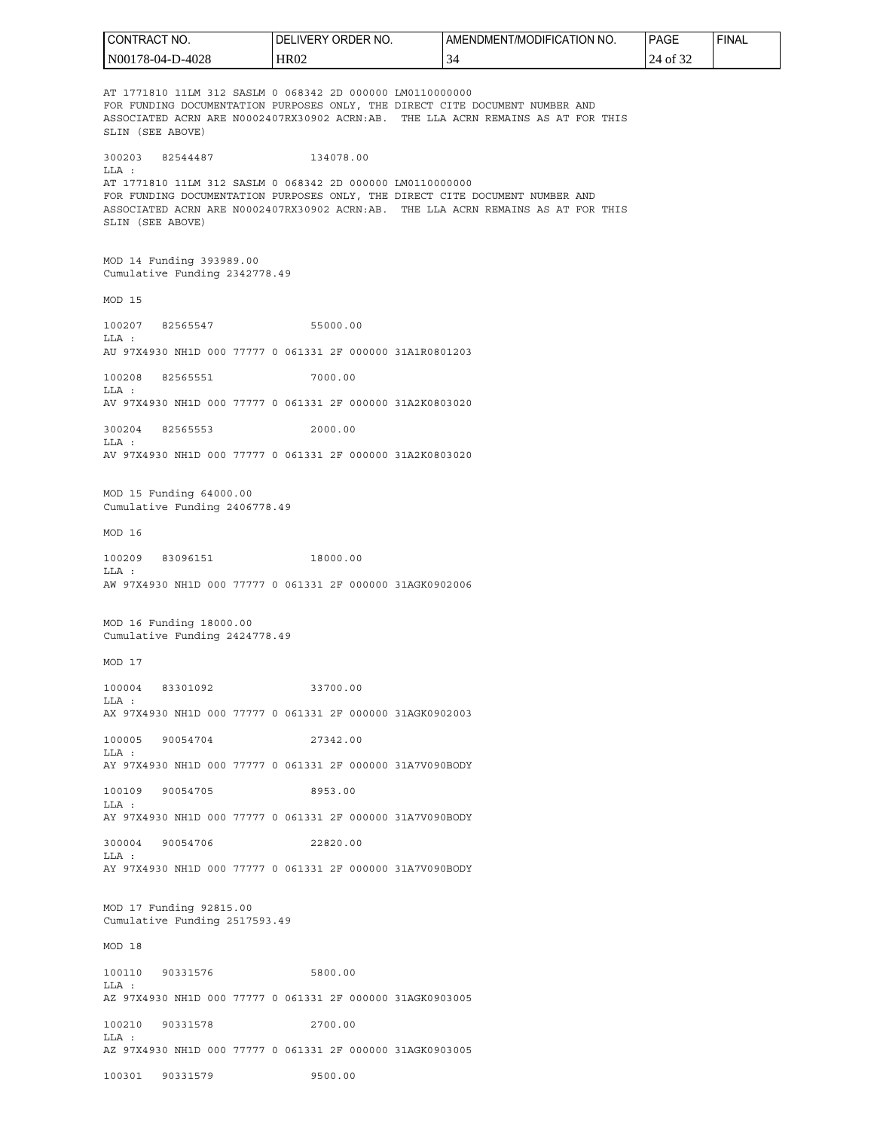AT 1771810 11LM 312 SASLM 0 068342 2D 000000 LM0110000000 FOR FUNDING DOCUMENTATION PURPOSES ONLY, THE DIRECT CITE DOCUMENT NUMBER AND ASSOCIATED ACRN ARE N0002407RX30902 ACRN:AB. THE LLA ACRN REMAINS AS AT FOR THIS SLIN (SEE ABOVE) 300203 82544487 134078.00 LLA : AT 1771810 11LM 312 SASLM 0 068342 2D 000000 LM0110000000 FOR FUNDING DOCUMENTATION PURPOSES ONLY, THE DIRECT CITE DOCUMENT NUMBER AND ASSOCIATED ACRN ARE N0002407RX30902 ACRN:AB. THE LLA ACRN REMAINS AS AT FOR THIS SLIN (SEE ABOVE) MOD 14 Funding 393989.00 Cumulative Funding 2342778.49 MOD 15 100207 82565547 55000.00 LLA : AU 97X4930 NH1D 000 77777 0 061331 2F 000000 31A1R0801203 100208 82565551 7000.00 LLA : AV 97X4930 NH1D 000 77777 0 061331 2F 000000 31A2K0803020 300204 82565553 2000.00 LLA : AV 97X4930 NH1D 000 77777 0 061331 2F 000000 31A2K0803020 MOD 15 Funding 64000.00 Cumulative Funding 2406778.49 MOD 16 100209 83096151 18000.00 LLA : AW 97X4930 NH1D 000 77777 0 061331 2F 000000 31AGK0902006 MOD 16 Funding 18000.00 Cumulative Funding 2424778.49 MOD 17 100004 83301092 33700.00 LLA : AX 97X4930 NH1D 000 77777 0 061331 2F 000000 31AGK0902003 100005 90054704 27342.00 LLA : AY 97X4930 NH1D 000 77777 0 061331 2F 000000 31A7V090BODY 100109 90054705 8953.00 LLA : AY 97X4930 NH1D 000 77777 0 061331 2F 000000 31A7V090BODY 300004 90054706 22820.00 LLA : AY 97X4930 NH1D 000 77777 0 061331 2F 000000 31A7V090BODY MOD 17 Funding 92815.00 Cumulative Funding 2517593.49 MOD 18 100110 90331576 5800.00 LLA : AZ 97X4930 NH1D 000 77777 0 061331 2F 000000 31AGK0903005 100210 90331578 2700.00 LLA : AZ 97X4930 NH1D 000 77777 0 061331 2F 000000 31AGK0903005 CONTRACT NO. N00178-04-D-4028 DELIVERY ORDER NO. HR02 AMENDMENT/MODIFICATION NO. 34 PAGE 24 of 32

FINAL

100301 90331579 9500.00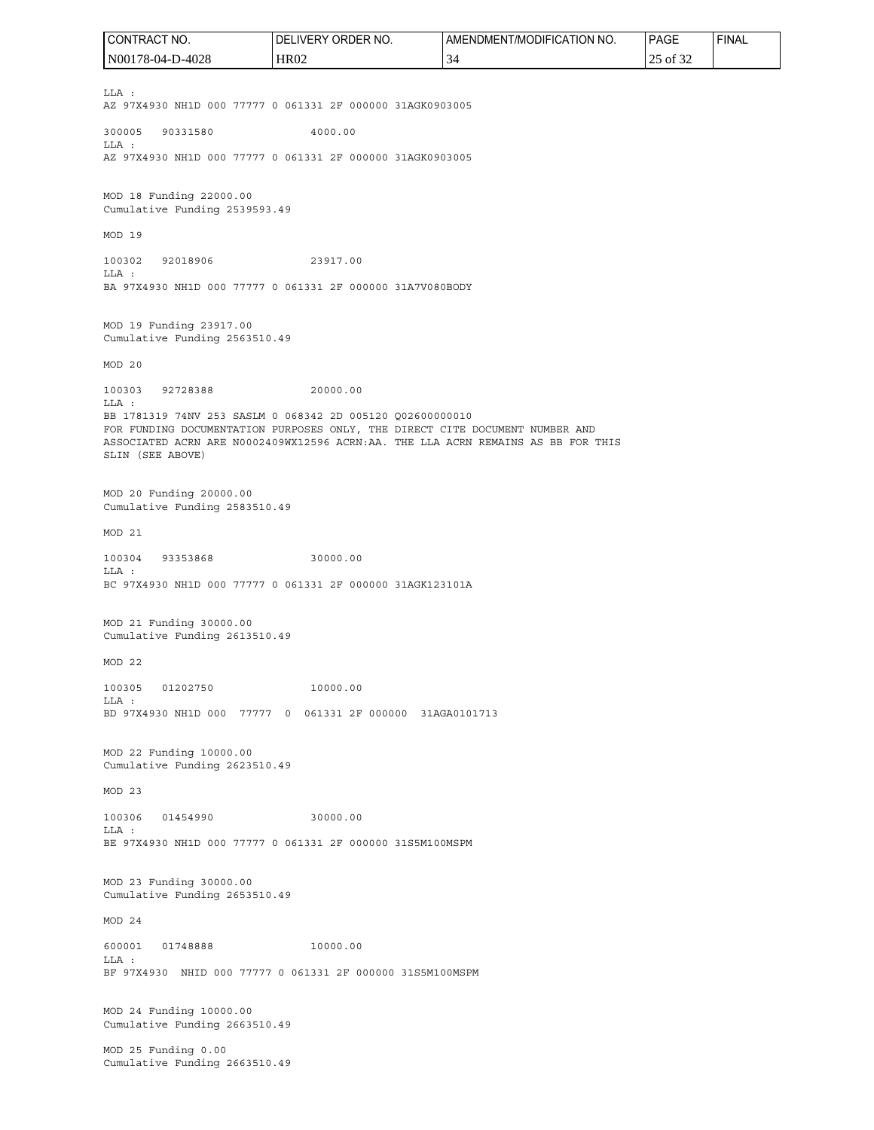LLA : AZ 97X4930 NH1D 000 77777 0 061331 2F 000000 31AGK0903005 300005 90331580 4000.00 LLA : AZ 97X4930 NH1D 000 77777 0 061331 2F 000000 31AGK0903005 MOD 18 Funding 22000.00 Cumulative Funding 2539593.49 MOD 19 100302 92018906 23917.00 LLA : BA 97X4930 NH1D 000 77777 0 061331 2F 000000 31A7V080BODY MOD 19 Funding 23917.00 Cumulative Funding 2563510.49 MOD 20 100303 92728388 20000.00 LLA : BB 1781319 74NV 253 SASLM 0 068342 2D 005120 Q02600000010 FOR FUNDING DOCUMENTATION PURPOSES ONLY, THE DIRECT CITE DOCUMENT NUMBER AND ASSOCIATED ACRN ARE N0002409WX12596 ACRN:AA. THE LLA ACRN REMAINS AS BB FOR THIS SLIN (SEE ABOVE) MOD 20 Funding 20000.00 Cumulative Funding 2583510.49 MOD 21 100304 93353868 30000.00 LLA : BC 97X4930 NH1D 000 77777 0 061331 2F 000000 31AGK123101A MOD 21 Funding 30000.00 Cumulative Funding 2613510.49 MOD 22 100305 01202750 10000.00 LLA : BD 97X4930 NH1D 000 77777 0 061331 2F 000000 31AGA0101713 MOD 22 Funding 10000.00 Cumulative Funding 2623510.49 MOD 23 100306 01454990 30000.00  $T.T.A$   $\cdot$ BE 97X4930 NH1D 000 77777 0 061331 2F 000000 31S5M100MSPM MOD 23 Funding 30000.00 Cumulative Funding 2653510.49 MOD 24 600001 01748888 10000.00 LLA : BF 97X4930 NHID 000 77777 0 061331 2F 000000 31S5M100MSPM MOD 24 Funding 10000.00 Cumulative Funding 2663510.49 MOD 25 Funding 0.00 CONTRACT NO. N00178-04-D-4028 DELIVERY ORDER NO. HR02 AMENDMENT/MODIFICATION NO. 34 PAGE 25 of 32

FINAL

Cumulative Funding 2663510.49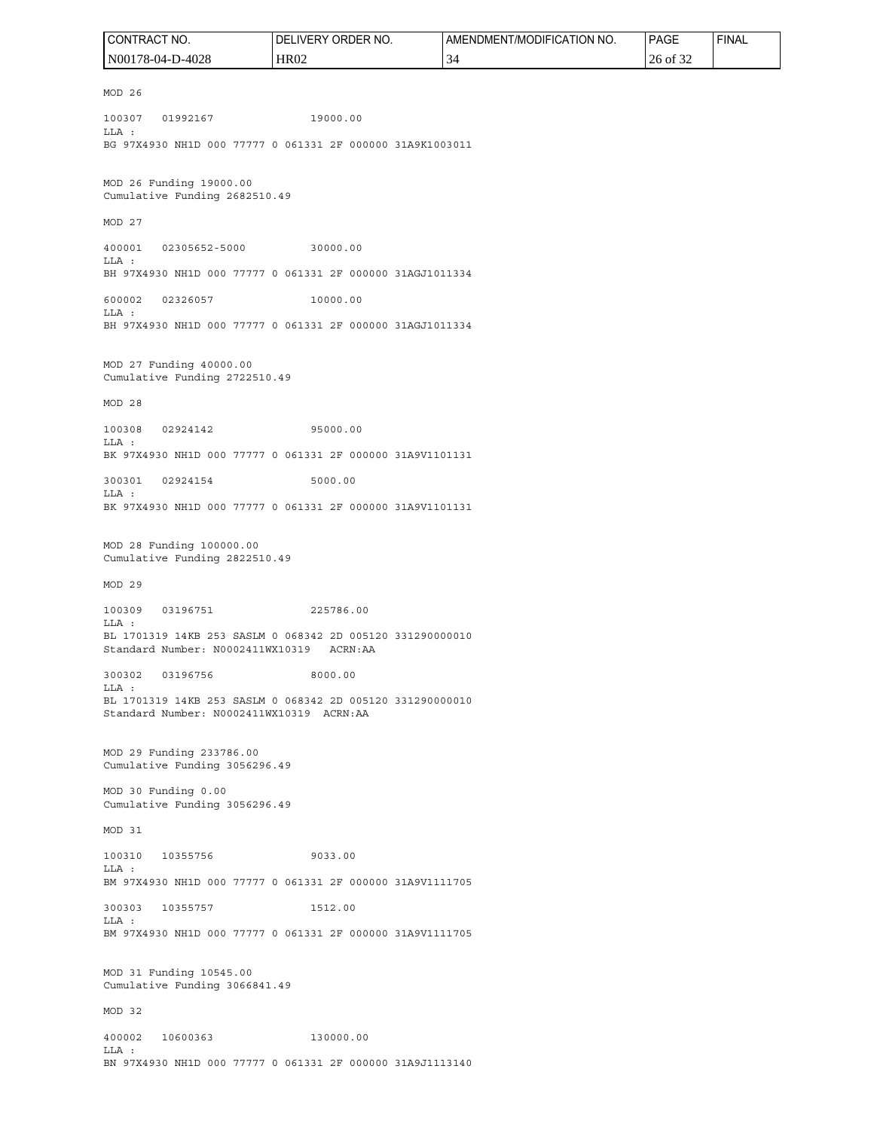MOD 26 100307 01992167 19000.00 LLA : BG 97X4930 NH1D 000 77777 0 061331 2F 000000 31A9K1003011 MOD 26 Funding 19000.00 Cumulative Funding 2682510.49 MOD 27 400001 02305652-5000 30000.00 LLA : BH 97X4930 NH1D 000 77777 0 061331 2F 000000 31AGJ1011334 600002 02326057 10000.00 LLA : BH 97X4930 NH1D 000 77777 0 061331 2F 000000 31AGJ1011334 MOD 27 Funding 40000.00 Cumulative Funding 2722510.49 MOD 28 100308 02924142 95000.00 LLA : BK 97X4930 NH1D 000 77777 0 061331 2F 000000 31A9V1101131 300301 02924154 5000.00 LLA : BK 97X4930 NH1D 000 77777 0 061331 2F 000000 31A9V1101131 MOD 28 Funding 100000.00 Cumulative Funding 2822510.49 MOD 29 100309 03196751 225786.00 LLA : BL 1701319 14KB 253 SASLM 0 068342 2D 005120 331290000010 Standard Number: N0002411WX10319 ACRN:AA 300302 03196756 8000.00 LLA : BL 1701319 14KB 253 SASLM 0 068342 2D 005120 331290000010 Standard Number: N0002411WX10319 ACRN:AA MOD 29 Funding 233786.00 Cumulative Funding 3056296.49 MOD 30 Funding 0.00 Cumulative Funding 3056296.49 MOD 31 100310 10355756 9033.00 LLA : BM 97X4930 NH1D 000 77777 0 061331 2F 000000 31A9V1111705 300303 10355757 1512.00 LLA : BM 97X4930 NH1D 000 77777 0 061331 2F 000000 31A9V1111705 MOD 31 Funding 10545.00 Cumulative Funding 3066841.49 MOD 32 400002 10600363 130000.00 LLA : BN 97X4930 NH1D 000 77777 0 061331 2F 000000 31A9J1113140 CONTRACT NO. N00178-04-D-4028 DELIVERY ORDER NO. HR02 AMENDMENT/MODIFICATION NO. 34 PAGE 26 of 32 FINAL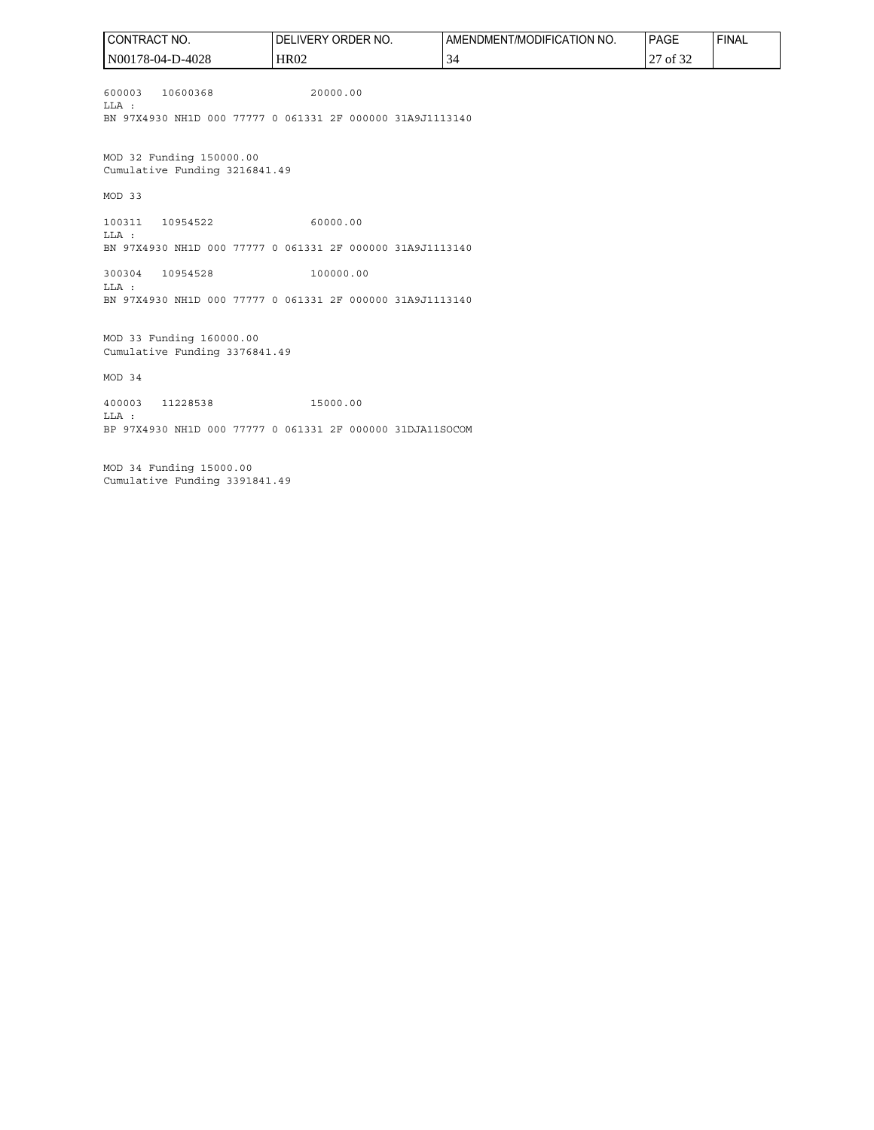| CONTRACT NO.                                              | DELIVERY ORDER NO.                                                    | AMENDMENT/MODIFICATION NO. | <b>PAGE</b> | <b>FINAL</b> |
|-----------------------------------------------------------|-----------------------------------------------------------------------|----------------------------|-------------|--------------|
| N00178-04-D-4028                                          | <b>HR02</b>                                                           | 34                         | 27 of 32    |              |
| 600003<br>10600368<br>LLA :                               | 20000.00<br>BN 97X4930 NH1D 000 77777 0 061331 2F 000000 31A9J1113140 |                            |             |              |
|                                                           |                                                                       |                            |             |              |
| MOD 32 Funding 150000.00<br>Cumulative Funding 3216841.49 |                                                                       |                            |             |              |
| MOD 33                                                    |                                                                       |                            |             |              |
| 10954522<br>100311<br>LLA :                               | 60000.00<br>BN 97X4930 NH1D 000 77777 0 061331 2F 000000 31A9J1113140 |                            |             |              |
| 10954528<br>300304<br>LLA :                               | 100000.00                                                             |                            |             |              |
|                                                           | BN 97X4930 NH1D 000 77777 0 061331 2F 000000 31A9J1113140             |                            |             |              |
| MOD 33 Funding 160000.00<br>Cumulative Funding 3376841.49 |                                                                       |                            |             |              |
| MOD 34                                                    |                                                                       |                            |             |              |
| 11228538<br>400003<br>LLA :                               | 15000.00<br>BP 97X4930 NH1D 000 77777 0 061331 2F 000000 31DJA11SOCOM |                            |             |              |

MOD 34 Funding 15000.00 Cumulative Funding 3391841.49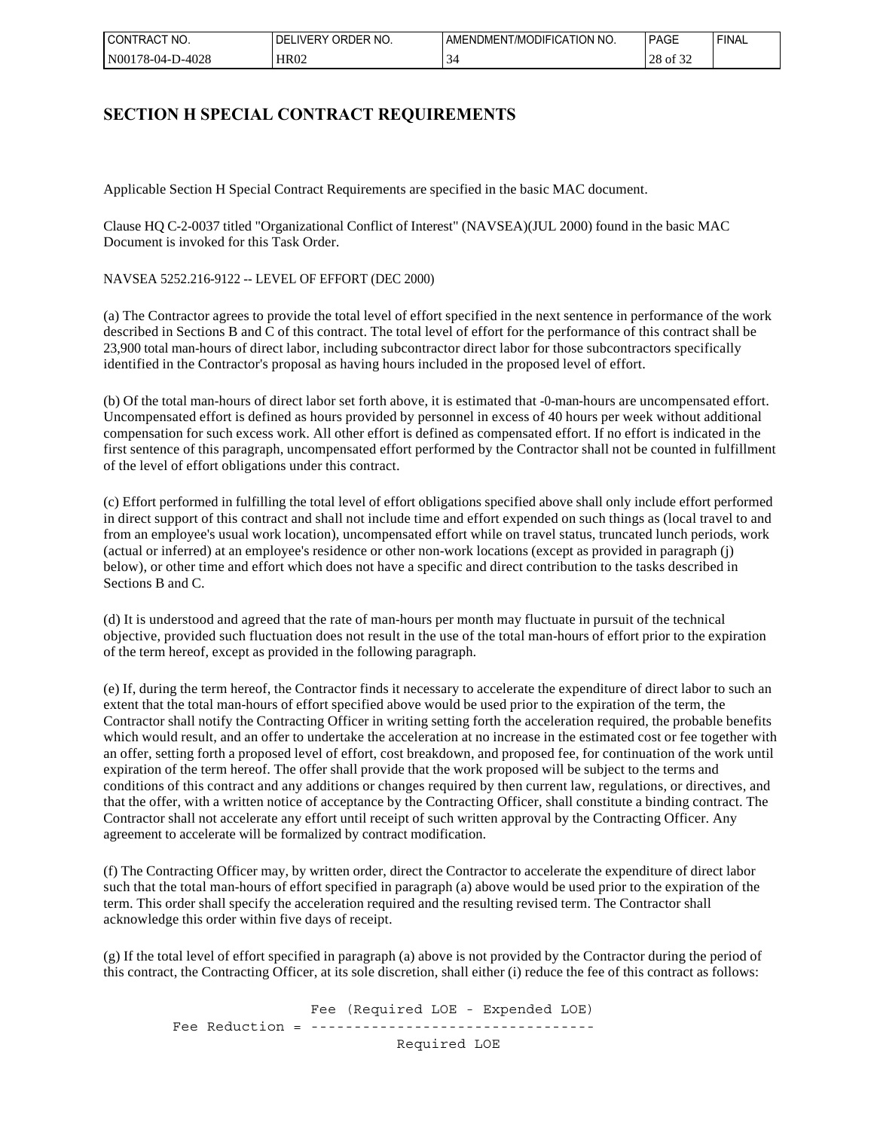| l CON"<br>'NO.<br>. RACT 1        | ORDER NO.<br>DF<br><b>IVERY</b> | ' NO.<br>' ATION:<br>JDIFIC<br>l /MC<br>ΔΝ<br>JMEN<br>AMFNL' | <b>PAGE</b>        | <b>FINAL</b> |
|-----------------------------------|---------------------------------|--------------------------------------------------------------|--------------------|--------------|
| l N00<br>0-4028<br>$1.6 - 04 - 1$ | <b>HR02</b>                     | ັ                                                            | $\sim$<br>ിറ<br>ΟĪ |              |

## **SECTION H SPECIAL CONTRACT REQUIREMENTS**

Applicable Section H Special Contract Requirements are specified in the basic MAC document.

Clause HQ C-2-0037 titled "Organizational Conflict of Interest" (NAVSEA)(JUL 2000) found in the basic MAC Document is invoked for this Task Order.

NAVSEA 5252.216-9122 -- LEVEL OF EFFORT (DEC 2000)

(a) The Contractor agrees to provide the total level of effort specified in the next sentence in performance of the work described in Sections B and C of this contract. The total level of effort for the performance of this contract shall be 23,900 total man-hours of direct labor, including subcontractor direct labor for those subcontractors specifically identified in the Contractor's proposal as having hours included in the proposed level of effort.

(b) Of the total man-hours of direct labor set forth above, it is estimated that -0-man-hours are uncompensated effort. Uncompensated effort is defined as hours provided by personnel in excess of 40 hours per week without additional compensation for such excess work. All other effort is defined as compensated effort. If no effort is indicated in the first sentence of this paragraph, uncompensated effort performed by the Contractor shall not be counted in fulfillment of the level of effort obligations under this contract.

(c) Effort performed in fulfilling the total level of effort obligations specified above shall only include effort performed in direct support of this contract and shall not include time and effort expended on such things as (local travel to and from an employee's usual work location), uncompensated effort while on travel status, truncated lunch periods, work (actual or inferred) at an employee's residence or other non-work locations (except as provided in paragraph (j) below), or other time and effort which does not have a specific and direct contribution to the tasks described in Sections B and C.

(d) It is understood and agreed that the rate of man-hours per month may fluctuate in pursuit of the technical objective, provided such fluctuation does not result in the use of the total man-hours of effort prior to the expiration of the term hereof, except as provided in the following paragraph.

(e) If, during the term hereof, the Contractor finds it necessary to accelerate the expenditure of direct labor to such an extent that the total man-hours of effort specified above would be used prior to the expiration of the term, the Contractor shall notify the Contracting Officer in writing setting forth the acceleration required, the probable benefits which would result, and an offer to undertake the acceleration at no increase in the estimated cost or fee together with an offer, setting forth a proposed level of effort, cost breakdown, and proposed fee, for continuation of the work until expiration of the term hereof. The offer shall provide that the work proposed will be subject to the terms and conditions of this contract and any additions or changes required by then current law, regulations, or directives, and that the offer, with a written notice of acceptance by the Contracting Officer, shall constitute a binding contract. The Contractor shall not accelerate any effort until receipt of such written approval by the Contracting Officer. Any agreement to accelerate will be formalized by contract modification.

(f) The Contracting Officer may, by written order, direct the Contractor to accelerate the expenditure of direct labor such that the total man-hours of effort specified in paragraph (a) above would be used prior to the expiration of the term. This order shall specify the acceleration required and the resulting revised term. The Contractor shall acknowledge this order within five days of receipt.

(g) If the total level of effort specified in paragraph (a) above is not provided by the Contractor during the period of this contract, the Contracting Officer, at its sole discretion, shall either (i) reduce the fee of this contract as follows:

> Fee (Required LOE - Expended LOE) Fee Reduction = ----------------------------------Required LOE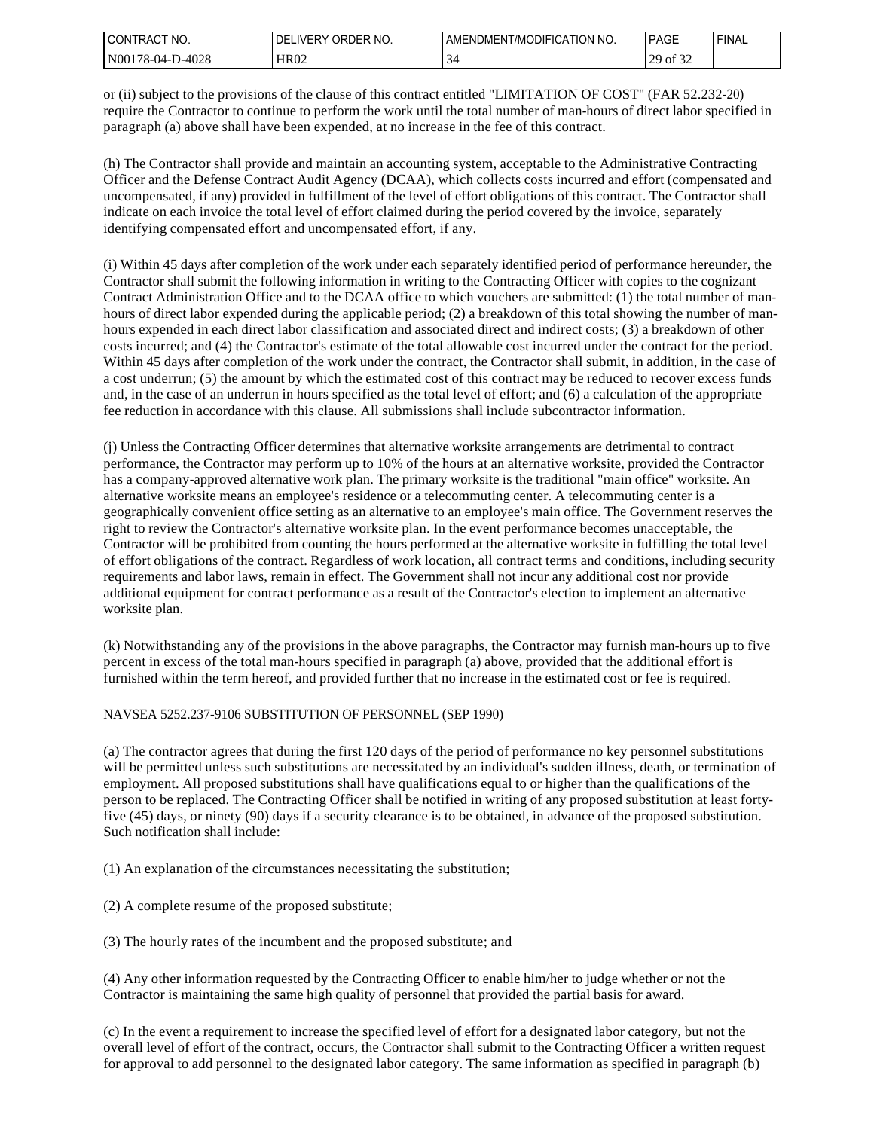| l CON"<br>" NO.<br>I RAC              | R NO<br>DF<br><b>JDEP</b><br>ואנ<br>- 12 V<br>IVFK | fion<br>N <sub>O</sub><br>DIFICA<br>')M⊢N I<br>AMENI<br>. /MO | <b>PAGE</b><br>___ | <b>FINAL</b> |
|---------------------------------------|----------------------------------------------------|---------------------------------------------------------------|--------------------|--------------|
| N00<br><b>D-4028</b><br>/8-04-<br>___ | HR02                                               | ٦c<br>◡                                                       | oc<br>Οİ           |              |

or (ii) subject to the provisions of the clause of this contract entitled "LIMITATION OF COST" (FAR 52.232-20) require the Contractor to continue to perform the work until the total number of man-hours of direct labor specified in paragraph (a) above shall have been expended, at no increase in the fee of this contract.

(h) The Contractor shall provide and maintain an accounting system, acceptable to the Administrative Contracting Officer and the Defense Contract Audit Agency (DCAA), which collects costs incurred and effort (compensated and uncompensated, if any) provided in fulfillment of the level of effort obligations of this contract. The Contractor shall indicate on each invoice the total level of effort claimed during the period covered by the invoice, separately identifying compensated effort and uncompensated effort, if any.

(i) Within 45 days after completion of the work under each separately identified period of performance hereunder, the Contractor shall submit the following information in writing to the Contracting Officer with copies to the cognizant Contract Administration Office and to the DCAA office to which vouchers are submitted: (1) the total number of manhours of direct labor expended during the applicable period; (2) a breakdown of this total showing the number of manhours expended in each direct labor classification and associated direct and indirect costs; (3) a breakdown of other costs incurred; and (4) the Contractor's estimate of the total allowable cost incurred under the contract for the period. Within 45 days after completion of the work under the contract, the Contractor shall submit, in addition, in the case of a cost underrun; (5) the amount by which the estimated cost of this contract may be reduced to recover excess funds and, in the case of an underrun in hours specified as the total level of effort; and (6) a calculation of the appropriate fee reduction in accordance with this clause. All submissions shall include subcontractor information.

(j) Unless the Contracting Officer determines that alternative worksite arrangements are detrimental to contract performance, the Contractor may perform up to 10% of the hours at an alternative worksite, provided the Contractor has a company-approved alternative work plan. The primary worksite is the traditional "main office" worksite. An alternative worksite means an employee's residence or a telecommuting center. A telecommuting center is a geographically convenient office setting as an alternative to an employee's main office. The Government reserves the right to review the Contractor's alternative worksite plan. In the event performance becomes unacceptable, the Contractor will be prohibited from counting the hours performed at the alternative worksite in fulfilling the total level of effort obligations of the contract. Regardless of work location, all contract terms and conditions, including security requirements and labor laws, remain in effect. The Government shall not incur any additional cost nor provide additional equipment for contract performance as a result of the Contractor's election to implement an alternative worksite plan.

(k) Notwithstanding any of the provisions in the above paragraphs, the Contractor may furnish man-hours up to five percent in excess of the total man-hours specified in paragraph (a) above, provided that the additional effort is furnished within the term hereof, and provided further that no increase in the estimated cost or fee is required.

## NAVSEA 5252.237-9106 SUBSTITUTION OF PERSONNEL (SEP 1990)

(a) The contractor agrees that during the first 120 days of the period of performance no key personnel substitutions will be permitted unless such substitutions are necessitated by an individual's sudden illness, death, or termination of employment. All proposed substitutions shall have qualifications equal to or higher than the qualifications of the person to be replaced. The Contracting Officer shall be notified in writing of any proposed substitution at least fortyfive (45) days, or ninety (90) days if a security clearance is to be obtained, in advance of the proposed substitution. Such notification shall include:

(1) An explanation of the circumstances necessitating the substitution;

(2) A complete resume of the proposed substitute;

(3) The hourly rates of the incumbent and the proposed substitute; and

(4) Any other information requested by the Contracting Officer to enable him/her to judge whether or not the Contractor is maintaining the same high quality of personnel that provided the partial basis for award.

(c) In the event a requirement to increase the specified level of effort for a designated labor category, but not the overall level of effort of the contract, occurs, the Contractor shall submit to the Contracting Officer a written request for approval to add personnel to the designated labor category. The same information as specified in paragraph (b)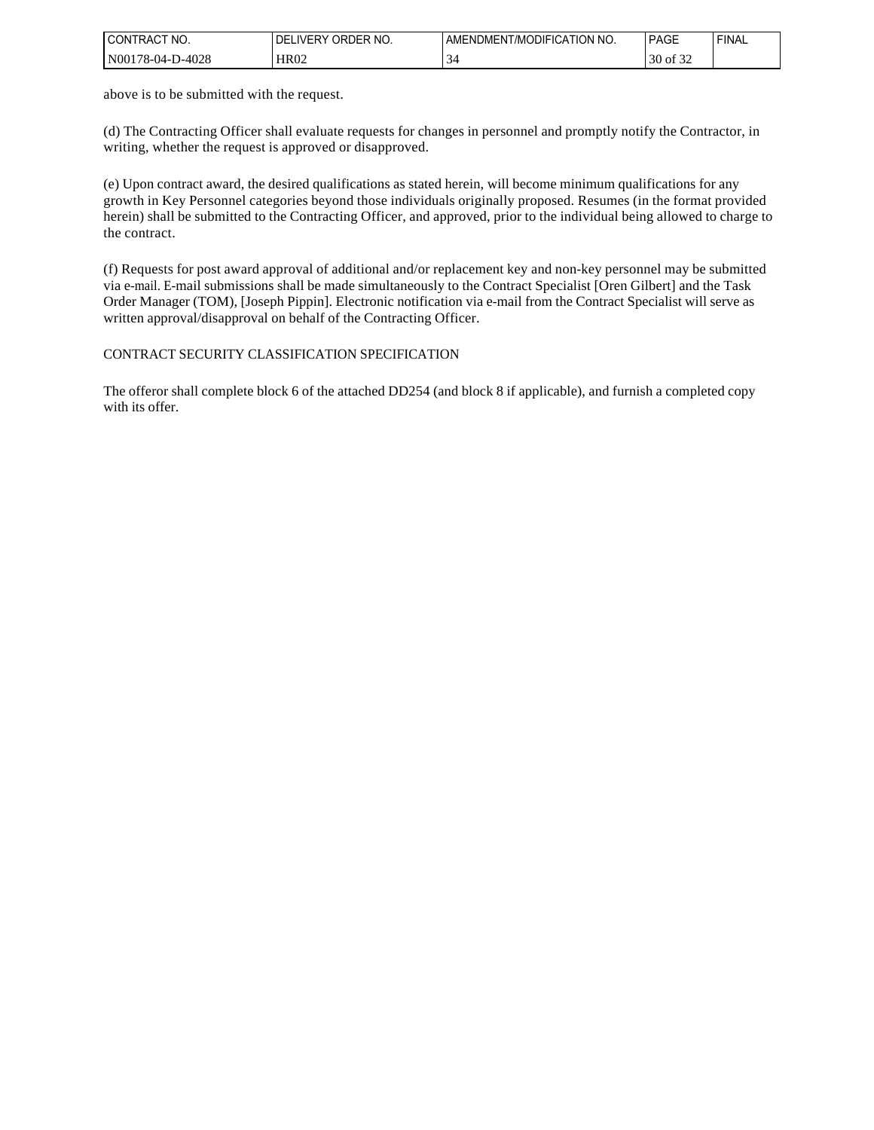| l CON<br>'NO.<br>TRAC     | ריי NO.<br>WERY<br>DF<br>ואו | ' NO.<br><b>CATION</b><br>111F1C<br>I /MC<br>JMEN.<br>AMENL' | <b>PAGE</b>     | <b>FINAL</b> |
|---------------------------|------------------------------|--------------------------------------------------------------|-----------------|--------------|
| N001<br>D-4028<br>78-04-l | HR02                         | ັ                                                            | ΟĪ<br>3U<br>-24 |              |

above is to be submitted with the request.

(d) The Contracting Officer shall evaluate requests for changes in personnel and promptly notify the Contractor, in writing, whether the request is approved or disapproved.

(e) Upon contract award, the desired qualifications as stated herein, will become minimum qualifications for any growth in Key Personnel categories beyond those individuals originally proposed. Resumes (in the format provided herein) shall be submitted to the Contracting Officer, and approved, prior to the individual being allowed to charge to the contract.

(f) Requests for post award approval of additional and/or replacement key and non-key personnel may be submitted via e-mail. E-mail submissions shall be made simultaneously to the Contract Specialist [Oren Gilbert] and the Task Order Manager (TOM), [Joseph Pippin]. Electronic notification via e-mail from the Contract Specialist will serve as written approval/disapproval on behalf of the Contracting Officer.

## CONTRACT SECURITY CLASSIFICATION SPECIFICATION

The offeror shall complete block 6 of the attached DD254 (and block 8 if applicable), and furnish a completed copy with its offer.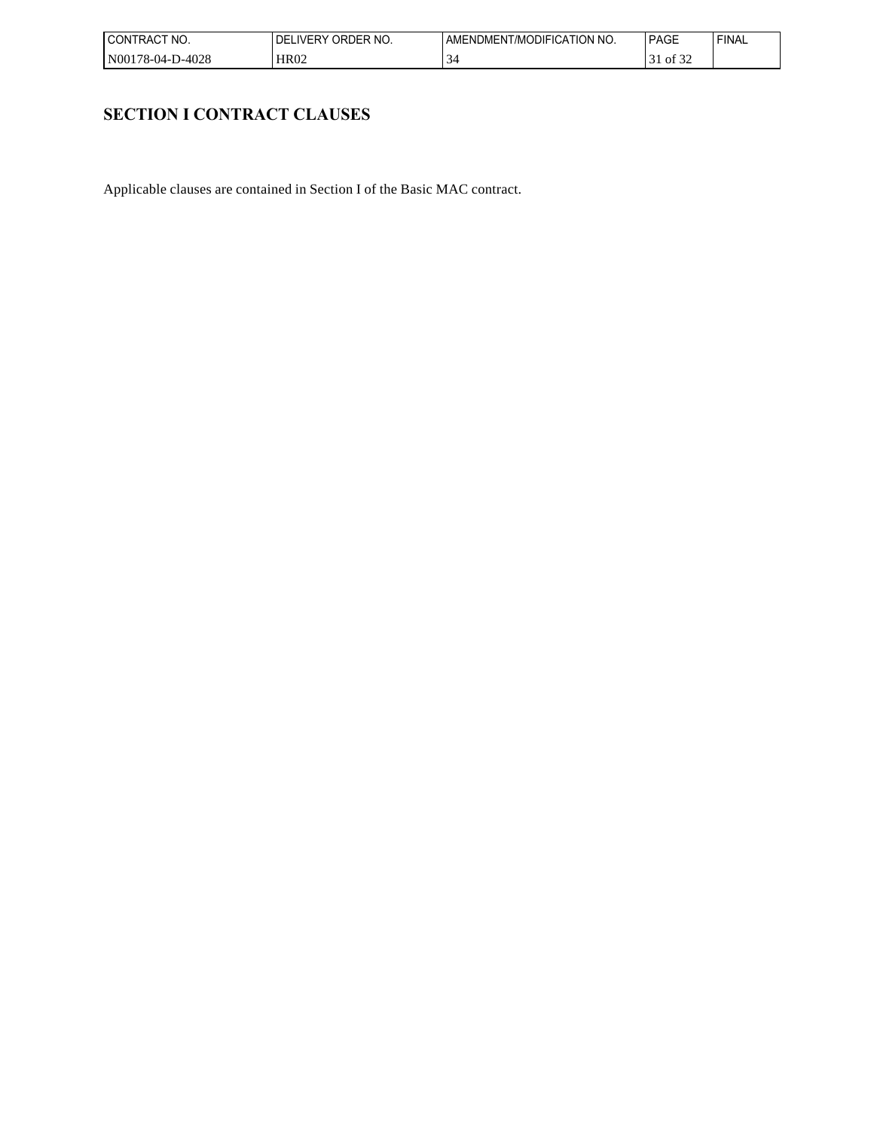| I CONT<br>'NO.<br>TRACT         | PRDER NO.<br>IVER'<br>. JRI 1<br>. )⊢<br>, , | ' NO.<br>. ATION .<br>)I )IFI(<br>l /MC<br>JMEN<br>AMENL' | PAG⊨      | <b>FINAL</b> |
|---------------------------------|----------------------------------------------|-----------------------------------------------------------|-----------|--------------|
| N00<br>D-4028<br>$1.6 - 04 - 1$ | <b>HR02</b>                                  | ◡                                                         | ΟĪ<br>-24 |              |

# **SECTION I CONTRACT CLAUSES**

Applicable clauses are contained in Section I of the Basic MAC contract.